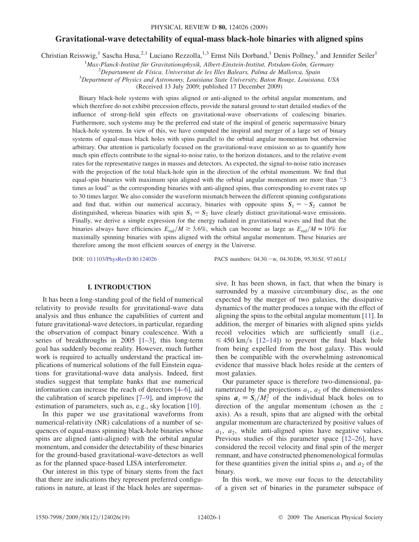# Gravitational-wave detectability of equal-mass black-hole binaries with aligned spins

Christian Reisswig,<sup>1</sup> Sascha Husa,<sup>2,1</sup> Luciano Rezzolla,<sup>1,3</sup> Ernst Nils Dorband,<sup>1</sup> Denis Pollney,<sup>1</sup> and Jennifer Seiler<sup>1</sup>

<sup>1</sup>Max-Planck-Institut für Gravitationsphysik, Albert-Einstein-Institut, Potsdam-Golm, Germany<br><sup>2</sup>Departament de Física, Universitat de les Illes Balagre, Palma de Mallerea, Spain

 ${}^{2}$ Departament de Física, Universitat de les Illes Balears, Palma de Mallorca, Spain

 $3$ Department of Physics and Astronomy, Louisiana State University, Baton Rouge, Louisiana, USA

(Received 13 July 2009; published 17 December 2009)

Binary black-hole systems with spins aligned or anti-aligned to the orbital angular momentum, and which therefore do not exhibit precession effects, provide the natural ground to start detailed studies of the influence of strong-field spin effects on gravitational-wave observations of coalescing binaries. Furthermore, such systems may be the preferred end state of the inspiral of generic supermassive binary black-hole systems. In view of this, we have computed the inspiral and merger of a large set of binary systems of equal-mass black holes with spins parallel to the orbital angular momentum but otherwise arbitrary. Our attention is particularly focused on the gravitational-wave emission so as to quantify how much spin effects contribute to the signal-to-noise ratio, to the horizon distances, and to the relative event rates for the representative ranges in masses and detectors. As expected, the signal-to-noise ratio increases with the projection of the total black-hole spin in the direction of the orbital momentum. We find that equal-spin binaries with maximum spin aligned with the orbital angular momentum are more than ''3 times as loud'' as the corresponding binaries with anti-aligned spins, thus corresponding to event rates up to 30 times larger. We also consider the waveform mismatch between the different spinning configurations and find that, within our numerical accuracy, binaries with opposite spins  $S_1 = -S_2$  cannot be distinguished, whereas binaries with spin  $S_1 = S_2$  have clearly distinct gravitational-wave emissions. Finally, we derive a simple expression for the energy radiated in gravitational waves and find that the binaries always have efficiencies  $E_{rad}/M \gtrsim 3.6\%$ , which can become as large as  $E_{rad}/M \simeq 10\%$  for maximally spinning binaries with spins aligned with the orbital angular momentum. These binaries are therefore among the most efficient sources of energy in the Universe.

DOI: [10.1103/PhysRevD.80.124026](http://dx.doi.org/10.1103/PhysRevD.80.124026) PACS numbers: 04.30.w, 04.30.Db, 95.30.Sf, 97.60.Lf

# I. INTRODUCTION

It has been a long-standing goal of the field of numerical relativity to provide results for gravitational-wave data analysis and thus enhance the capabilities of current and future gravitational-wave detectors, in particular, regarding the observation of compact binary coalescence. With a series of breakthroughs in 2005 [[1](#page-16-0)[–3](#page-16-1)], this long-term goal has suddenly become reality. However, much further work is required to actually understand the practical implications of numerical solutions of the full Einstein equations for gravitational-wave data analysis. Indeed, first studies suggest that template banks that use numerical information can increase the reach of detectors [\[4](#page-16-2)–[6\]](#page-16-3), aid the calibration of search pipelines [[7](#page-16-4)[–9](#page-16-5)], and improve the estimation of parameters, such as, e.g., sky location [\[10\]](#page-16-6).

In this paper we use gravitational waveforms from numerical-relativity (NR) calculations of a number of sequences of equal-mass spinning black-hole binaries whose spins are aligned (anti-aligned) with the orbital angular momentum, and consider the detectability of these binaries for the ground-based gravitational-wave-detectors as well as for the planned space-based LISA interferometer.

Our interest in this type of binary stems from the fact that there are indications they represent preferred configurations in nature, at least if the black holes are supermassive. It has been shown, in fact, that when the binary is surrounded by a massive circumbinary disc, as the one expected by the merger of two galaxies, the dissipative dynamics of the matter produces a torque with the effect of aligning the spins to the orbital angular momentum [[11](#page-16-7)]. In addition, the merger of binaries with aligned spins yields recoil velocities which are sufficiently small (i.e.,  $\leq$  450 km/s [\[12–](#page-16-8)[14](#page-17-0)]) to prevent the final black hole from being expelled from the host galaxy. This would then be compatible with the overwhelming astronomical evidence that massive black holes reside at the centers of most galaxies.

Our parameter space is therefore two-dimensional, parametrized by the projections  $a_1$ ,  $a_2$  of the dimensionless spins  $a_i = S_i/M_i^2$  of the individual black holes on to direction of the angular momentum (chosen as the z direction of the angular momentum (chosen as the  $z$ axis). As a result, spins that are aligned with the orbital angular momentum are characterized by positive values of  $a_1$ ,  $a_2$ , while anti-aligned spins have negative values. Previous studies of this parameter space [\[12–](#page-16-8)[26](#page-17-1)], have considered the recoil velocity and final spin of the merger remnant, and have constructed phenomenological formulas for these quantities given the initial spins  $a_1$  and  $a_2$  of the binary.

In this work, we move our focus to the detectability of a given set of binaries in the parameter subspace of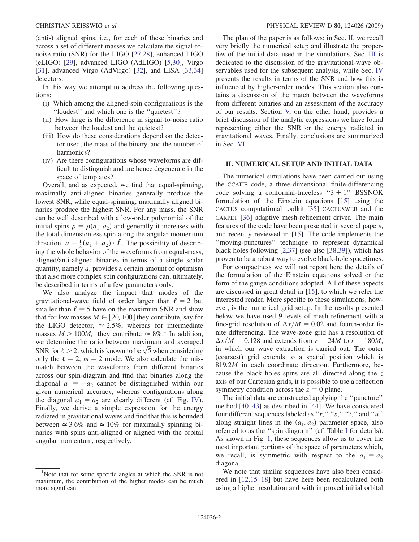(anti-) aligned spins, i.e., for each of these binaries and across a set of different masses we calculate the signal-tonoise ratio (SNR) for the LIGO [[27](#page-17-2),[28](#page-17-3)], enhanced LIGO (eLIGO) [[29](#page-17-4)], advanced LIGO (AdLIGO) [\[5,](#page-16-9)[30\]](#page-17-5), Virgo [\[31\]](#page-17-6), advanced Virgo (AdVirgo) [[32](#page-17-7)], and LISA [\[33](#page-17-8)[,34\]](#page-17-9) detectors.

In this way we attempt to address the following questions:

- (i) Which among the aligned-spin configurations is the ''loudest'' and which one is the ''quietest''?
- (ii) How large is the difference in signal-to-noise ratio between the loudest and the quietest?
- (iii) How do these considerations depend on the detector used, the mass of the binary, and the number of harmonics?
- (iv) Are there configurations whose waveforms are difficult to distinguish and are hence degenerate in the space of templates?

Overall, and as expected, we find that equal-spinning, maximally anti-aligned binaries generally produce the lowest SNR, while equal-spinning, maximally aligned binaries produce the highest SNR. For any mass, the SNR can be well described with a low-order polynomial of the initial spins  $\rho = \rho(a_1, a_2)$  and generally it increases with the total dimensionless spin along the angular momentum direction,  $a = \frac{1}{2}(\mathbf{a}_1 + \mathbf{a}_2) \cdot \hat{\mathbf{L}}$ . The possibility of describing the whole behavior of the waveforms from equal mass ing the whole behavior of the waveforms from equal-mass, aligned/anti-aligned binaries in terms of a single scalar quantity, namely a, provides a certain amount of optimism that also more complex spin configurations can, ultimately, be described in terms of a few parameters only.

We also analyze the impact that modes of the gravitational-wave field of order larger than  $\ell = 2$  but smaller than  $\ell = 5$  have on the maximum SNR and show that for low masses  $M \in [20, 100]$  they contribute, say for the LIGO detector,  $\approx 2.5\%$ , whereas for intermediate masses  $M > 100 M_{\odot}$  they contribute  $\approx 8\%$ .<sup>1</sup> In addition, we determine the ratio between maximum and averaged we determine the ratio between maximum and averaged SNR for  $\ell > 2$ , which is known to be  $\sqrt{5}$  when considering only the  $\ell = 2$ ,  $m = 2$  mode. We also calculate the mismatch between the waveforms from different binaries across our spin-diagram and find that binaries along the diagonal  $a_1 = -a_2$  cannot be distinguished within our given numerical accuracy, whereas configurations along the diagonal  $a_1 = a_2$  are clearly different (cf. Fig. [IV\)](#page-10-0). Finally, we derive a simple expression for the energy radiated in gravitational waves and find that this is bounded between  $\simeq 3.6\%$  and  $\simeq 10\%$  for maximally spinning binaries with spins anti-aligned or aligned with the orbital angular momentum, respectively.

The plan of the paper is as follows: in Sec. II, we recall very briefly the numerical setup and illustrate the properties of the initial data used in the simulations. Sec. III is dedicated to the discussion of the gravitational-wave observables used for the subsequent analysis, while Sec. IV presents the results in terms of the SNR and how this is influenced by higher-order modes. This section also contains a discussion of the match between the waveforms from different binaries and an assessment of the accuracy of our results. Section V, on the other hand, provides a brief discussion of the analytic expressions we have found representing either the SNR or the energy radiated in gravitational waves. Finally, conclusions are summarized in Sec. VI.

## II. NUMERICAL SETUP AND INITIAL DATA

The numerical simulations have been carried out using the CCATIE code, a three-dimensional finite-differencing code solving a conformal-traceless " $3 + 1$ " BSSNOK formulation of the Einstein equations [\[15\]](#page-17-10) using the CACTUS computational toolkit [[35](#page-17-11)] CACTUSWEB and the CARPET [[36](#page-17-12)] adaptive mesh-refinement driver. The main features of the code have been presented in several papers, and recently reviewed in [[15\]](#page-17-10). The code implements the ''moving-punctures'' technique to represent dynamical black holes following [\[2](#page-16-10),[37](#page-17-13)] (see also [\[38](#page-17-14)[,39\]](#page-17-15)), which has proven to be a robust way to evolve black-hole spacetimes.

For compactness we will not report here the details of the formulation of the Einstein equations solved or the form of the gauge conditions adopted. All of these aspects are discussed in great detail in [\[15\]](#page-17-10), to which we refer the interested reader. More specific to these simulations, however, is the numerical grid setup. In the results presented below we have used 9 levels of mesh refinement with a fine-grid resolution of  $\Delta x/M = 0.02$  and fourth-order finite differencing. The wave-zone grid has a resolution of  $\Delta x/M = 0.128$  and extends from  $r = 24M$  to  $r = 180M$ , in which our wave extraction is carried out. The outer (coarsest) grid extends to a spatial position which is 819.2M in each coordinate direction. Furthermore, because the black holes spins are all directed along the z axis of our Cartesian grids, it is possible to use a reflection symmetry condition across the  $z = 0$  plane.

The initial data are constructed applying the ''puncture'' method [[40](#page-17-16)–[43](#page-17-17)] as described in [\[44\]](#page-17-18). We have considered four different sequences labeled as " $r$ ," " $s$ ," " $t$ ," and "u" along straight lines in the  $(a_1, a_2)$  parameter space, also referred to as the ''spin diagram'' (cf. Table [I](#page-2-0) for details). As shown in Fig. [1,](#page-2-1) these sequences allow us to cover the most important portions of the space of parameters which, we recall, is symmetric with respect to the  $a_1 = a_2$ diagonal.

We note that similar sequences have also been considered in [[12](#page-16-8),[15](#page-17-10)–[18\]](#page-17-19) but have here been recalculated both using a higher resolution and with improved initial orbital

<sup>&</sup>lt;sup>1</sup>Note that for some specific angles at which the SNR is not maximum, the contribution of the higher modes can be much more significant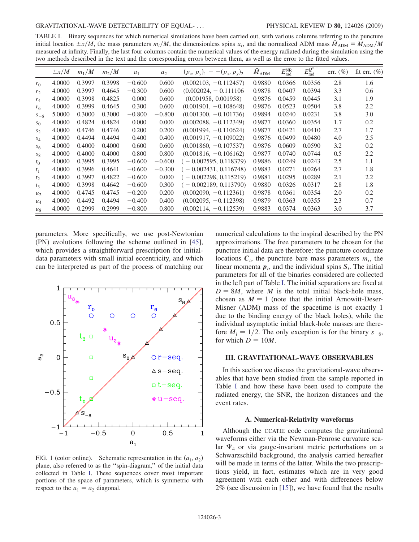<span id="page-2-0"></span>TABLE I. Binary sequences for which numerical simulations have been carried out, with various columns referring to the puncture initial location  $\pm x/M$ , the mass parameters  $m_i/M$ , the dimensionless spins  $a_i$ , and the normalized ADM mass  $\tilde{M}_{ADM} = \tilde{M}_{ADM}/M$ <br>measured at infinity. Finally, the last four columns contain the numerical values of the measured at infinity. Finally, the last four columns contain the numerical values of the energy radiated during the simulation using the two methods described in the text and the corresponding errors between them, as well as the error to the fitted values.

|                | $\pm x/M$ | $m_1/M$ | $m_2/M$ | $a_1$    | $a_2$    | $(p_x, p_y)_1 = -(p_x, p_y)_2$ | $\tilde{M}_{{\rm ADM}}$ | $E_{\rm rad}^{\rm NR}$ | $\overline{E_{\rm rad}^{Q^{\times,+}}}$ | err. $(\% )$ | fit err. $(\%)$ |
|----------------|-----------|---------|---------|----------|----------|--------------------------------|-------------------------|------------------------|-----------------------------------------|--------------|-----------------|
| $r_0$          | 4.0000    | 0.3997  | 0.3998  | $-0.600$ | 0.600    | $(0.002103, -0.112457)$        | 0.9880                  | 0.0366                 | 0.0356                                  | 2.8          | 1.6             |
| r <sub>2</sub> | 4.0000    | 0.3997  | 0.4645  | $-0.300$ | 0.600    | $(0.002024, -0.111106)$        | 0.9878                  | 0.0407                 | 0.0394                                  | 3.3          | 0.6             |
| $r_4$          | 4.0000    | 0.3998  | 0.4825  | 0.000    | 0.600    | (0.001958, 0.001958)           | 0.9876                  | 0.0459                 | 0.0445                                  | 3.1          | 1.9             |
| r <sub>6</sub> | 4.0000    | 0.3999  | 0.4645  | 0.300    | 0.600    | $(0.001901, -0.108648)$        | 0.9876                  | 0.0523                 | 0.0504                                  | 3.8          | 2.2             |
| $S_{-8}$       | 5.0000    | 0.3000  | 0.3000  | $-0.800$ | $-0.800$ | $(0.001300, -0.101736)$        | 0.9894                  | 0.0240                 | 0.0231                                  | 3.8          | 3.0             |
| $S_{\Omega}$   | 4.0000    | 0.4824  | 0.4824  | 0.000    | 0.000    | $(0.002088, -0.112349)$        | 0.9877                  | 0.0360                 | 0.0354                                  | 1.7          | 0.2             |
| $S_{2}$        | 4.0000    | 0.4746  | 0.4746  | 0.200    | 0.200    | $(0.001994, -0.110624)$        | 0.9877                  | 0.0421                 | 0.0410                                  | 2.7          | 1.7             |
| $S_{\Delta}$   | 4.0000    | 0.4494  | 0.4494  | 0.400    | 0.400    | $(0.001917, -0.109022)$        | 0.9876                  | 0.0499                 | 0.0480                                  | 4.0          | 2.5             |
| $S_6$          | 4.0000    | 0.4000  | 0.4000  | 0.600    | 0.600    | $(0.001860, -0.107537)$        | 0.9876                  | 0.0609                 | 0.0590                                  | 3.2          | 0.2             |
| $S_8$          | 4.0000    | 0.4000  | 0.4000  | 0.800    | 0.800    | $(0.001816, -0.106162)$        | 0.9877                  | 0.0740                 | 0.0744                                  | 0.5          | 2.2             |
| $t_0$          | 4.0000    | 0.3995  | 0.3995  | $-0.600$ | $-0.600$ | $-0.002595, 0.118379$          | 0.9886                  | 0.0249                 | 0.0243                                  | 2.5          | 1.1             |
| t <sub>1</sub> | 4.0000    | 0.3996  | 0.4641  | $-0.600$ | $-0.300$ | $-0.002431, 0.116748$          | 0.9883                  | 0.0271                 | 0.0264                                  | 2.7          | 1.8             |
| t <sub>2</sub> | 4.0000    | 0.3997  | 0.4822  | $-0.600$ | 0.000    | $-0.002298, 0.115219$          | 0.9881                  | 0.0295                 | 0.0289                                  | 2.1          | 2.2             |
| $t_3$          | 4.0000    | 0.3998  | 0.4642  | $-0.600$ | 0.300    | $-0.002189, 0.113790$          | 0.9880                  | 0.0326                 | 0.0317                                  | 2.8          | 1.8             |
| u <sub>2</sub> | 4.0000    | 0.4745  | 0.4745  | $-0.200$ | 0.200    | $(0.002090, -0.112361)$        | 0.9878                  | 0.0361                 | 0.0354                                  | 2.0          | 0.2             |
| $u_4$          | 4.0000    | 0.4492  | 0.4494  | $-0.400$ | 0.400    | $(0.002095, -0.112398)$        | 0.9879                  | 0.0363                 | 0.0355                                  | 2.3          | 0.7             |
| $u_{8}$        | 4.0000    | 0.2999  | 0.2999  | $-0.800$ | 0.800    | $(0.002114, -0.112539)$        | 0.9883                  | 0.0374                 | 0.0363                                  | 3.0          | 3.7             |

parameters. More specifically, we use post-Newtonian (PN) evolutions following the scheme outlined in [\[45\]](#page-17-20), which provides a straightforward prescription for initialdata parameters with small initial eccentricity, and which can be interpreted as part of the process of matching our

<span id="page-2-1"></span>

FIG. 1 (color online). Schematic representation in the  $(a_1, a_2)$ plane, also referred to as the ''spin-diagram,'' of the initial data collected in Table [I.](#page-2-0) These sequences cover most important portions of the space of parameters, which is symmetric with respect to the  $a_1 = a_2$  diagonal.

numerical calculations to the inspiral described by the PN approximations. The free parameters to be chosen for the puncture initial data are therefore: the puncture coordinate locations  $C_i$ , the puncture bare mass parameters  $m_i$ , the linear momenta  $p_i$ , and the individual spins  $S_i$ . The initial parameters for all of the binaries considered are collected in the left part of Table [I.](#page-2-0) The initial separations are fixed at  $D = 8M$ , where M is the total initial black-hole mass, chosen as  $M = 1$  (note that the initial Arnowitt-Deser-Misner (ADM) mass of the spacetime is not exactly 1 due to the binding energy of the black holes), while the individual asymptotic initial black-hole masses are therefore  $M_i = 1/2$ . The only exception is for the binary  $s_{-8}$ , for which  $D = 10M$ .

## III. GRAVITATIONAL-WAVE OBSERVABLES

In this section we discuss the gravitational-wave observables that have been studied from the sample reported in Table [I](#page-2-0) and how these have been used to compute the radiated energy, the SNR, the horizon distances and the event rates.

### A. Numerical-Relativity waveforms

Although the CCATIE code computes the gravitational waveforms either via the Newman-Penrose curvature scalar  $\Psi_4$  or via gauge-invariant metric perturbations on a Schwarzschild background, the analysis carried hereafter will be made in terms of the latter. While the two prescriptions yield, in fact, estimates which are in very good agreement with each other and with differences below 2% (see discussion in [[15](#page-17-10)]), we have found that the results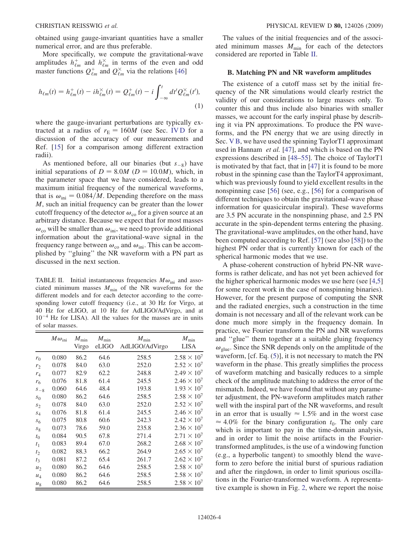obtained using gauge-invariant quantities have a smaller numerical error, and are thus preferable.

More specifically, we compute the gravitational-wave amplitudes  $h_{\ell m}^+$  and  $h_{\ell m}^{\times}$  in terms of the even and odd master functions  $Q_{\ell m}^+$  and  $Q_{\ell m}^\times$  via the relations [\[46\]](#page-17-21)

$$
h_{\ell m}(t) = h_{\ell m}^{+}(t) - ih_{\ell m}^{\times}(t) = Q_{\ell m}^{+}(t) - i \int_{-\infty}^{t} dt' Q_{\ell m}^{\times}(t'),
$$
\n(1)

where the gauge-invariant perturbations are typically extracted at a radius of  $r_{\rm E} = 160M$  (see Sec. IV D for a discussion of the accuracy of our measurements and Ref. [[15](#page-17-10)] for a comparison among different extraction radii).

As mentioned before, all our binaries (but  $s_{-8}$ ) have initial separations of  $D = 8.0M$  ( $D = 10.0M$ ), which, in the parameter space that we have considered, leads to a maximum initial frequency of the numerical waveforms, that is  $\omega_{\text{ini}} = 0.084/M$ . Depending therefore on the mass M, such an initial frequency can be greater than the lower cutoff frequency of the detector  $\omega_{\rm co}$  for a given source at an arbitrary distance. Because we expect that for most masses  $\omega_{\rm co}$  will be smaller than  $\omega_{\rm ini}$ , we need to provide additional information about the gravitational-wave signal in the frequency range between  $\omega_{\rm co}$  and  $\omega_{\rm ini}$ . This can be accomplished by ''gluing'' the NR waveform with a PN part as discussed in the next section.

<span id="page-3-0"></span>TABLE II. Initial instantaneous frequencies  $M\omega_{\text{ini}}$  and associated minimum masses  $M_{\text{min}}$  of the NR waveforms for the different models and for each detector according to the corresponding lower cutoff frequency (i.e., at 30 Hz for Virgo, at 40 Hz for eLIGO, at 10 Hz for AdLIGO/AdVirgo, and at  $10^{-4}$  Hz for LISA). All the values for the masses are in units of solar masses.

|                | $M\omega_{\rm ini}$ | $M_{\rm min}$<br>Virgo | $M_{\rm min}$<br>eLIGO | $M_{\rm min}$<br>AdLIGO/AdVirgo | $M_{\rm min}$<br>LISA |
|----------------|---------------------|------------------------|------------------------|---------------------------------|-----------------------|
| $r_0$          | 0.080               | 86.2                   | 64.6                   | 258.5                           | $2.58 \times 10^{7}$  |
| r <sub>2</sub> | 0.078               | 84.0                   | 63.0                   | 252.0                           | $2.52 \times 10^{7}$  |
| $r_4$          | 0.077               | 82.9                   | 62.2                   | 248.8                           | $2.49 \times 10^{7}$  |
| $r_6$          | 0.076               | 81.8                   | 61.4                   | 245.5                           | $2.46 \times 10^{7}$  |
| $S_{-8}$       | 0.060               | 64.6                   | 48.4                   | 193.8                           | $1.93 \times 10^{7}$  |
| $s_0$          | 0.080               | 86.2                   | 64.6                   | 258.5                           | $2.58 \times 10^{7}$  |
| $S_2$          | 0.078               | 84.0                   | 63.0                   | 252.0                           | $2.52 \times 10^{7}$  |
| $S_4$          | 0.076               | 81.8                   | 61.4                   | 245.5                           | $2.46 \times 10^{7}$  |
| s <sub>6</sub> | 0.075               | 80.8                   | 60.6                   | 242.3                           | $2.42 \times 10^{7}$  |
| $s_8$          | 0.073               | 78.6                   | 59.0                   | 235.8                           | $2.36 \times 10^{7}$  |
| $t_{0}$        | 0.084               | 90.5                   | 67.8                   | 271.4                           | $2.71 \times 10^{7}$  |
| $t_1$          | 0.083               | 89.4                   | 67.0                   | 268.2                           | $2.68 \times 10^{7}$  |
| $t_2$          | 0.082               | 88.3                   | 66.2                   | 264.9                           | $2.65 \times 10^{7}$  |
| $t_3$          | 0.081               | 87.2                   | 65.4                   | 261.7                           | $2.62 \times 10^{7}$  |
| $u_2$          | 0.080               | 86.2                   | 64.6                   | 258.5                           | $2.58 \times 10^{7}$  |
| $u_4$          | 0.080               | 86.2                   | 64.6                   | 258.5                           | $2.58 \times 10^{7}$  |
| $u_{8}$        | 0.080               | 86.2                   | 64.6                   | 258.5                           | $2.58 \times 10^{7}$  |

The values of the initial frequencies and of the associated minimum masses  $M_{\text{min}}$  for each of the detectors considered are reported in Table [II.](#page-3-0)

## B. Matching PN and NR waveform amplitudes

The existence of a cutoff mass set by the initial frequency of the NR simulations would clearly restrict the validity of our considerations to large masses only. To counter this and thus include also binaries with smaller masses, we account for the early inspiral phase by describing it via PN approximations. To produce the PN waveforms, and the PN energy that we are using directly in Sec. V B, we have used the spinning TaylorT1 approximant used in Hannam et al. [\[47\]](#page-17-22), and which is based on the PN expressions described in [\[48](#page-17-23)[–55\]](#page-17-24). The choice of TaylorT1 is motivated by that fact, that in [[47](#page-17-22)] it is found to be more robust in the spinning case than the TaylorT4 approximant, which was previously found to yield excellent results in the nonspinning case [[56](#page-17-25)] (see, e.g., [[56](#page-17-25)] for a comparison of different techniques to obtain the gravitational-wave phase information for quasicircular inspiral). These waveforms are 3.5 PN accurate in the nonspinning phase, and 2.5 PN accurate in the spin-dependent terms entering the phasing. The gravitational-wave amplitudes, on the other hand, have been computed according to Ref. [[57](#page-17-26)] (see also [[58](#page-17-27)]) to the highest PN order that is currently known for each of the spherical harmonic modes that we use.

A phase-coherent construction of hybrid PN-NR waveforms is rather delicate, and has not yet been achieved for the higher spherical harmonic modes we use here (see [[4](#page-16-2)[,5\]](#page-16-9) for some recent work in the case of nonspinning binaries). However, for the present purpose of computing the SNR and the radiated energies, such a construction in the time domain is not necessary and all of the relevant work can be done much more simply in the frequency domain. In practice, we Fourier transform the PN and NR waveforms and ''glue'' them together at a suitable gluing frequency  $\omega$ <sub>glue</sub>. Since the SNR depends only on the amplitude of the waveform, [cf. Eq. [\(5](#page-4-0))], it is not necessary to match the PN waveform in the phase. This greatly simplifies the process of waveform matching and basically reduces to a simple check of the amplitude matching to address the error of the mismatch. Indeed, we have found that without any parameter adjustment, the PN-waveform amplitudes match rather well with the inspiral part of the NR waveforms, and result in an error that is usually  $\approx 1.5\%$  and in the worst case  $\approx 4.0\%$  for the binary configuration  $t_0$ . The only care which is important to pay in the time-domain analysis, and in order to limit the noise artifacts in the Fouriertransformed amplitudes, is the use of a windowing function (e.g., a hyperbolic tangent) to smoothly blend the waveform to zero before the initial burst of spurious radiation and after the ringdown, in order to limit spurious oscillations in the Fourier-transformed waveform. A representative example is shown in Fig. [2](#page-4-1), where we report the noise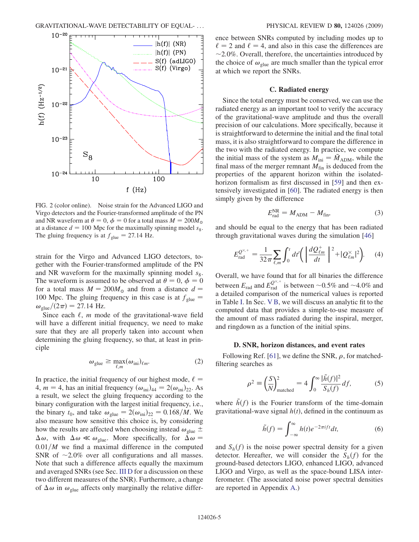<span id="page-4-1"></span>

FIG. 2 (color online). Noise strain for the Advanced LIGO and Virgo detectors and the Fourier-transformed amplitude of the PN and NR waveform at  $\theta = 0$ ,  $\phi = 0$  for a total mass  $M = 200M_{\odot}$ <br>at a distance  $d = 100$  Mpc for the maximally spinning model so at a distance  $d = 100$  Mpc for the maximally spinning model  $s_8$ . The gluing frequency is at  $f_{\text{glue}} = 27.14 \text{ Hz}.$ 

strain for the Virgo and Advanced LIGO detectors, together with the Fourier-transformed amplitude of the PN and NR waveform for the maximally spinning model  $s_8$ . The waveform is assumed to be observed at  $\theta = 0$ ,  $\phi = 0$ <br>for a total mass  $M = 200M$ , and from a distance  $d =$ for a total mass  $M = 200 M_{\odot}$  and from a distance  $d =$ 100 Mpc. The gluing frequency in this case is at  $f_{glue}$  =  $\omega_{\text{glue}}/(2\pi) = 27.14 \text{ Hz}.$ 

Since each  $\ell$ , *m* mode of the gravitational-wave field will have a different initial frequency, we need to make sure that they are all properly taken into account when determining the gluing frequency, so that, at least in principle

$$
\omega_{\text{glue}} \ge \max_{\ell,m} (\omega_{\text{ini}})_{\ell m}.
$$
 (2)

<span id="page-4-2"></span>In practice, the initial frequency of our highest mode,  $\ell =$ 4,  $m = 4$ , has an initial frequency  $(\omega_{\text{ini}})_{44} = 2(\omega_{\text{ini}})_{22}$ . As a result, we select the gluing frequency according to the binary configuration with the largest initial frequency, i.e., the binary  $t_0$ , and take  $\omega_{\text{glue}} = 2(\omega_{\text{ini}})_{22} = 0.168/M$ . We also measure how sensitive this choice is, by considering how the results are affected when choosing instead  $\omega_{glue}$   $\pm$  $\Delta \omega$ , with  $\Delta \omega \ll \omega_{\text{glue}}$ . More specifically, for  $\Delta \omega = 0.01/M$ , we find a maximal difference in the computed  $0.01/M$  we find a maximal difference in the computed SNR of  $\sim$ 2.0% over all configurations and all masses. Note that such a difference affects equally the maximum and averaged SNRs (see Sec. III D for a discussion on these two different measures of the SNR). Furthermore, a change of  $\Delta \omega$  in  $\omega_{glue}$  affects only marginally the relative difference between SNRs computed by including modes up to  $\ell = 2$  and  $\ell = 4$ , and also in this case the differences are  $\sim$  2.0%. Overall, therefore, the uncertainties introduced by the choice of  $\omega_{glue}$  are much smaller than the typical error at which we report the SNRs.

## C. Radiated energy

Since the total energy must be conserved, we can use the radiated energy as an important tool to verify the accuracy of the gravitational-wave amplitude and thus the overall precision of our calculations. More specifically, because it is straightforward to determine the initial and the final total mass, it is also straightforward to compare the difference in the two with the radiated energy. In practice, we compute the initial mass of the system as  $M_{\text{ini}} = \tilde{M}_{\text{ADM}}$ , while the final mass of the merger remnant  $M_{fin}$  is deduced from the properties of the apparent horizon within the isolated-horizon formalism as first discussed in [[59](#page-17-28)] and then extensively investigated in [[60](#page-17-29)]. The radiated energy is then simply given by the difference

$$
E_{\text{rad}}^{\text{NR}} = M_{\text{ADM}} - M_{\text{fin}},\tag{3}
$$

and should be equal to the energy that has been radiated through gravitational waves during the simulation [[46](#page-17-21)]

$$
E_{\text{rad}}^{\mathcal{Q}^{\times,+}} = \frac{1}{32\pi} \sum_{\ell,m} \int_0^t dt' \bigg( \left| \frac{dQ_{\ell m}^+}{dt} \right|^2 + |Q_{\ell m}^{\times}|^2 \bigg). \tag{4}
$$

Overall, we have found that for all binaries the difference between  $E_{\text{rad}}$  and  $E_{\text{rad}}^{Q^{\times,+}}$  is between  $\sim 0.5\%$  and  $\sim 4.0\%$  and<br>a detailed comparison of the numerical values is reported a detailed comparison of the numerical values is reported in Table [I.](#page-2-0) In Sec. V B, we will discuss an analytic fit to the computed data that provides a simple-to-use measure of the amount of mass radiated during the inspiral, merger, and ringdown as a function of the initial spins.

### D. SNR, horizon distances, and event rates

<span id="page-4-0"></span>Following Ref. [[61](#page-17-30)], we define the SNR,  $\rho$ , for matchedfiltering searches as

$$
\rho^2 \equiv \left(\frac{S}{N}\right)_{\text{matched}}^2 = 4 \int_0^\infty \frac{|\tilde{h}(f)|^2}{S_h(f)} df,\tag{5}
$$

where  $\tilde{h}(f)$  is the Fourier transform of the time-domain gravitational-wave signal  $h(t)$ , defined in the continuum as

$$
\tilde{h}(f) = \int_{-\infty}^{\infty} h(t)e^{-2\pi i f t}dt,
$$
\n(6)

and  $S_h(f)$  is the noise power spectral density for a given detector. Hereafter, we will consider the  $S_h(f)$  for the ground-based detectors LIGO, enhanced LIGO, advanced LIGO and Virgo, as well as the space-bound LISA interferometer. (The associated noise power spectral densities are reported in Appendix A.)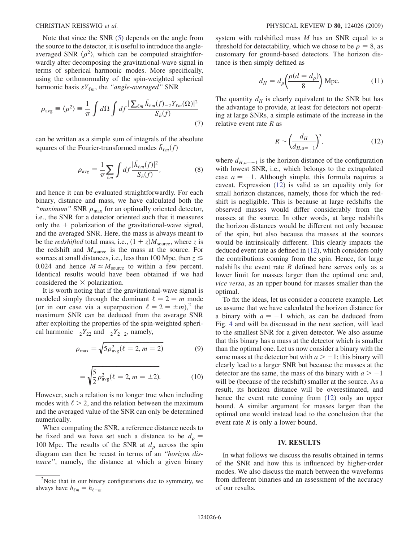Note that since the SNR [\(5](#page-4-0)) depends on the angle from the source to the detector, it is useful to introduce the angleaveraged SNR  $\langle \rho^2 \rangle$ , which can be computed straightforwardly after decomposing the gravitational-wave signal in terms of spherical harmonic modes. More specifically, using the orthonormality of the spin-weighted spherical harmonic basis  $sY_{\ell m}$ , the "angle-averaged" SNR

$$
\rho_{\text{avg}} \equiv \langle \rho^2 \rangle \equiv \frac{1}{\pi} \int d\Omega \int df \frac{|\sum_{\ell m} \tilde{h}_{\ell m}(f)_{-2} Y_{\ell m}(\Omega)|^2}{S_h(f)} \tag{7}
$$

can be written as a simple sum of integrals of the absolute squares of the Fourier-transformed modes  $\tilde{h}_{\ell m}(f)$ 

$$
\rho_{\text{avg}} = \frac{1}{\pi} \sum_{\ell m} \int df \frac{|\tilde{h}_{\ell m}(f)|^2}{S_h(f)},\tag{8}
$$

and hence it can be evaluated straightforwardly. For each binary, distance and mass, we have calculated both the "*maximum*" SNR  $\rho_{\text{max}}$  for an optimally oriented detector, i.e., the SNR for a detector oriented such that it measures only the  $+$  polarization of the gravitational-wave signal, and the averaged SNR. Here, the mass is always meant to be the *redshifted* total mass, i.e.,  $(1 + z)M_{\text{source}}$ , where z is the redshift and  $M_{\text{source}}$  is the mass at the source. For sources at small distances, i.e., less than 100 Mpc, then  $z \leq$ 0.024 and hence  $M \approx M_{\text{source}}$  to within a few percent. Identical results would have been obtained if we had considered the  $\times$  polarization.

It is worth noting that if the gravitational-wave signal is modeled simply through the dominant  $\ell = 2 = m$  mode (or in our case via a superposition  $\ell = 2 = \pm m$ ),<sup>2</sup> the maximum SNR can be deduced from the average SNR after exploiting the properties of the spin-weighted spherical harmonic  $Z_{2}Y_{22}$  and  $Z_{2}Y_{2-2}$ , namely,

$$
\rho_{\text{max}} = \sqrt{5 \rho_{\text{avg}}^2 (\ell = 2, m = 2)}
$$
(9)

$$
= \sqrt{\frac{5}{2}\rho_{\text{avg}}^2(\ell=2, m=\pm 2)}.
$$
 (10)

<span id="page-5-1"></span>However, such a relation is no longer true when including modes with  $\ell > 2$ , and the relation between the maximum and the averaged value of the SNR can only be determined numerically.

When computing the SNR, a reference distance needs to be fixed and we have set such a distance to be  $d_{\rho} =$ 100 Mpc. The results of the SNR at  $d<sub>\rho</sub>$  across the spin diagram can then be recast in terms of an ''horizon distance'', namely, the distance at which a given binary system with redshifted mass M has an SNR equal to a threshold for detectability, which we chose to be  $\rho = 8$ , as customary for ground-based detectors. The horizon distance is then simply defined as

$$
d_H = d_\rho \left(\frac{\rho(d = d_\rho)}{8}\right) \text{Mpc.}
$$
 (11)

<span id="page-5-0"></span>The quantity  $d_H$  is clearly equivalent to the SNR but has the advantage to provide, at least for detectors not operating at large SNRs, a simple estimate of the increase in the relative event rate  $R$  as

$$
R \sim \left(\frac{d_H}{d_{H,a=-1}}\right)^3,\tag{12}
$$

where  $d_{H,a=-1}$  is the horizon distance of the configuration with lowest SNR, i.e., which belongs to the extrapolated case  $a = -1$ . Although simple, this formula requires a caveat. Expression [\(12\)](#page-5-0) is valid as an equality only for small horizon distances, namely, those for which the redshift is negligible. This is because at large redshifts the observed masses would differ considerably from the masses at the source. In other words, at large redshifts the horizon distances would be different not only because of the spin, but also because the masses at the sources would be intrinsically different. This clearly impacts the deduced event rate as defined in ([12](#page-5-0)), which considers only the contributions coming from the spin. Hence, for large redshifts the event rate  $R$  defined here serves only as a lower limit for masses larger than the optimal one and, vice versa, as an upper bound for masses smaller than the optimal.

To fix the ideas, let us consider a concrete example. Let us assume that we have calculated the horizon distance for a binary with  $a = -1$  which, as can be deduced from Fig. [4](#page-7-0) and will be discussed in the next section, will lead to the smallest SNR for a given detector. We also assume that this binary has a mass at the detector which is smaller than the optimal one. Let us now consider a binary with the same mass at the detector but with  $a > -1$ ; this binary will clearly lead to a larger SNR but because the masses at the detector are the same, the mass of the binary with  $a > -1$ will be (because of the redshift) smaller at the source. As a result, its horizon distance will be overestimated, and hence the event rate coming from ([12](#page-5-0)) only an upper bound. A similar argument for masses larger than the optimal one would instead lead to the conclusion that the event rate R is only a lower bound.

#### IV. RESULTS

In what follows we discuss the results obtained in terms of the SNR and how this is influenced by higher-order modes. We also discuss the match between the waveforms from different binaries and an assessment of the accuracy of our results.

<sup>&</sup>lt;sup>2</sup>Note that in our binary configurations due to symmetry, we always have  $h_{\ell m} = h_{\ell - m}$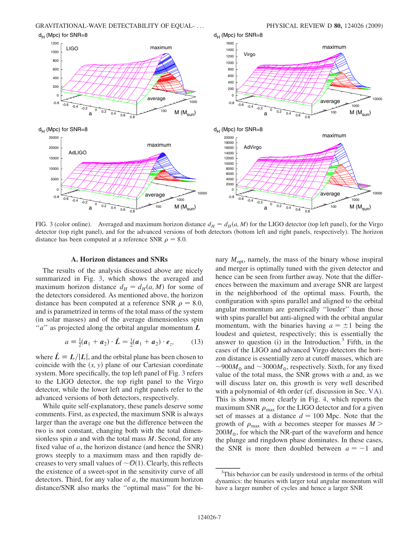<span id="page-6-0"></span>

FIG. 3 (color online). Averaged and maximum horizon distance  $d_H = d_H(a, M)$  for the LIGO detector (top left panel), for the Virgo detector (top right panel), and for the advanced versions of both detectors (bottom left and right panels, respectively). The horizon distance has been computed at a reference SNR  $\rho = 8.0$ .

### A. Horizon distances and SNRs

The results of the analysis discussed above are nicely summarized in Fig. [3,](#page-6-0) which shows the averaged and maximum horizon distance  $d_H = d_H(a, M)$  for some of the detectors considered. As mentioned above, the horizon distance has been computed at a reference SNR  $\rho = 8.0$ , and is parametrized in terms of the total mass of the system (in solar masses) and of the average dimensionless spin " $a$ " as projected along the orbital angular momentum  $L$ 

$$
a \equiv \frac{1}{2}(\boldsymbol{a}_1 + \boldsymbol{a}_2) \cdot \hat{\boldsymbol{L}} = \frac{1}{2}(\boldsymbol{a}_1 + \boldsymbol{a}_2) \cdot \boldsymbol{e}_z, \qquad (13)
$$

where  $\hat{L} \equiv L/|L|$ , and the orbital plane has been chosen to coincide with the  $(x, y)$  plane of our Cartesian coordinate coincide with the  $(x, y)$  plane of our Cartesian coordinate system. More specifically, the top left panel of Fig. [3](#page-6-0) refers to the LIGO detector, the top right panel to the Virgo detector, while the lower left and right panels refer to the advanced versions of both detectors, respectively.

While quite self-explanatory, these panels deserve some comments. First, as expected, the maximum SNR is always larger than the average one but the difference between the two is not constant, changing both with the total dimensionless spin  $a$  and with the total mass  $M$ . Second, for any fixed value of  $a$ , the horizon distance (and hence the SNR) grows steeply to a maximum mass and then rapidly decreases to very small values of  $\sim \mathcal{O}(1)$ . Clearly, this reflects the existence of a sweet-spot in the sensitivity curve of all detectors. Third, for any value of a, the maximum horizon distance/SNR also marks the ''optimal mass'' for the binary  $M_{\text{opt}}$ , namely, the mass of the binary whose inspiral and merger is optimally tuned with the given detector and hence can be seen from further away. Note that the differences between the maximum and average SNR are largest in the neighborhood of the optimal mass. Fourth, the configuration with spins parallel and aligned to the orbital angular momentum are generically ''louder'' than those with spins parallel but anti-aligned with the orbital angular momentum, with the binaries having  $a = \pm 1$  being the loudest and quietest, respectively; this is essentially the answer to question (i) in the Introduction. $3$  Fifth, in the cases of the LIGO and advanced Virgo detectors the horizon distance is essentially zero at cutoff masses, which are  $\sim$ 900 $M_{\odot}$  and  $\sim$ 3000 $M_{\odot}$ , respectively. Sixth, for any fixed value of the total mass, the SNR grows with  $a$  and, as we will discuss later on, this growth is very well described with a polynomial of 4th order (cf. discussion in Sec. VA). This is shown more clearly in Fig. [4](#page-7-0), which reports the maximum SNR  $\rho_{\text{max}}$  for the LIGO detector and for a given set of masses at a distance  $d = 100$  Mpc. Note that the growth of  $\rho_{\text{max}}$  with a becomes steeper for masses  $M >$  $200M_{\odot}$ , for which the NR-part of the waveform and hence the plunge and ringdown phase dominates. In these cases, the SNR is more then doubled between  $a = -1$  and

<sup>&</sup>lt;sup>3</sup>This behavior can be easily understood in terms of the orbital dynamics: the binaries with larger total angular momentum will have a larger number of cycles and hence a larger SNR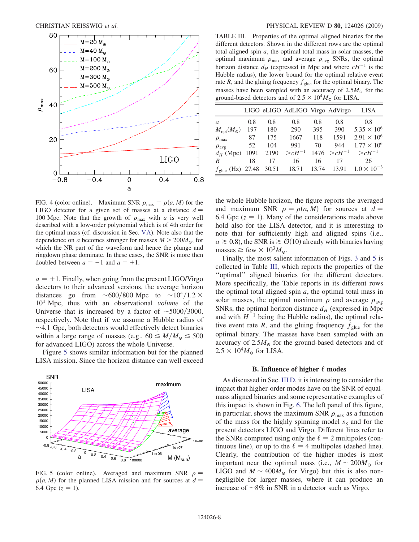<span id="page-7-0"></span>

FIG. 4 (color online). Maximum SNR  $\rho_{\text{max}} = \rho(a, M)$  for the LIGO detector for a given set of masses at a distance  $d =$ 100 Mpc. Note that the growth of  $\rho_{\text{max}}$  with a is very well described with a low-order polynomial which is of 4th order for the optimal mass (cf. discussion in Sec. VA). Note also that the dependence on a becomes stronger for masses  $M > 200 M_{\odot}$ , for which the NR part of the waveform and hence the plunge and ringdown phase dominate. In these cases, the SNR is more then doubled between  $a = -1$  and  $a = +1$ .

 $a = +1$ . Finally, when going from the present LIGO/Virgo detectors to their advanced versions, the average horizon distances go from  $\sim 600/800$  Mpc to  $\sim 10^4/1.2 \times$  $10<sup>4</sup>$  Mpc, thus with an observational *volume* of the Universe that is increased by a factor of  $\sim$  5000/3000, respectively. Note that if we assume a Hubble radius of  $\sim$  4.1 Gpc, both detectors would effectively detect binaries within a large range of masses (e.g.,  $60 \le M/M_{\odot} \le 500$ for advanced LIGO) across the whole Universe.

Figure [5](#page-7-1) shows similar information but for the planned LISA mission. Since the horizon distance can well exceed

<span id="page-7-1"></span>

FIG. 5 (color online). Averaged and maximum SNR  $\rho =$  $\rho(a, M)$  for the planned LISA mission and for sources at  $d =$ 6.4 Gpc  $(z = 1)$ .

<span id="page-7-2"></span>TABLE III. Properties of the optimal aligned binaries for the different detectors. Shown in the different rows are the optimal total aligned spin  $a$ , the optimal total mass in solar masses, the optimal maximum  $\rho_{\text{max}}$  and average  $\rho_{\text{avg}}$  SNRs, the optimal horizon distance  $d_H$  (expressed in Mpc and where  $cH^{-1}$  is the Hubble radius), the lower bound for the optimal relative event rate R, and the gluing frequency  $f_{glue}$  for the optimal binary. The masses have been sampled with an accuracy of  $2.5M_{\odot}$  for the ground-based detectors and of  $2.5 \times 10^4 M_{\odot}$  for LISA.

|                             |       |       | LIGO eLIGO AdLIGO Virgo AdVirgo |       |             | LISA                 |
|-----------------------------|-------|-------|---------------------------------|-------|-------------|----------------------|
| a                           | 0.8   | 0.8   | 0.8                             | 0.8   | 0.8         | 0.8                  |
| $M_{\text{opt}}(M_{\odot})$ | 197   | 180   | 290                             | 395   | 390         | $5.35 \times 10^{6}$ |
| $\rho_{\text{max}}$         | 87    | 175   | 1667                            | 118   | 1591        | $2.91 \times 10^{6}$ |
| $\rho_{\text{avg}}$         | 52    | 104   | 991                             | 70    | 944         | $1.77 \times 10^6$   |
| $d_H$ (Mpc)                 | 1091  | 2190  | $> cH^{-1}$                     | 1476  | $> cH^{-1}$ | $> cH^{-1}$          |
| $\boldsymbol{R}$            | 18    | 17    | 16                              | 16    | 17          | 26                   |
| $f_{\text{glue}}$ (Hz)      | 27.48 | 30.51 | 18.71                           | 13.74 | 13.91       | $1.0 \times 10^{-3}$ |

the whole Hubble horizon, the figure reports the averaged and maximum SNR  $\rho = \rho(a, M)$  for sources at  $d =$ 6.4 Gpc ( $z = 1$ ). Many of the considerations made above hold also for the LISA detector, and it is interesting to note that for sufficiently high and aligned spins (i.e.,  $a \ge 0.8$ , the SNR is  $\ge 0(10)$  already with binaries having masses  $\gtrsim$  few  $\times 10^3 M_{\odot}$ .

Finally, the most salient information of Figs. [3](#page-6-0) and [5](#page-7-1) is collected in Table [III](#page-7-2), which reports the properties of the ''optimal'' aligned binaries for the different detectors. More specifically, the Table reports in its different rows the optimal total aligned spin  $a$ , the optimal total mass in solar masses, the optimal maximum  $\rho$  and average  $\rho_{avg}$ SNRs, the optimal horizon distance  $d_H$  (expressed in Mpc) and with  $H^{-1}$  being the Hubble radius), the optimal relative event rate R, and the gluing frequency  $f_{glue}$  for the optimal binary. The masses have been sampled with an accuracy of  $2.5M_{\odot}$  for the ground-based detectors and of  $2.5 \times 10^4 M_{\odot}$  for LISA.

# B. Influence of higher  $\ell$  modes

As discussed in Sec. III D, it is interesting to consider the impact that higher-order modes have on the SNR of equalmass aligned binaries and some representative examples of this impact is shown in Fig. [6.](#page-8-0) The left panel of this figure, in particular, shows the maximum SNR  $\rho_{\text{max}}$  as a function of the mass for the highly spinning model  $s_8$  and for the present detectors LIGO and Virgo. Different lines refer to the SNRs computed using only the  $\ell = 2$  multipoles (continuous line), or up to the  $\ell = 4$  multipoles (dashed line). Clearly, the contribution of the higher modes is most important near the optimal mass (i.e.,  $M \sim 200 M_{\odot}$  for LIGO and  $M \sim 400 M_{\odot}$  for Virgo) but this is also nonnegligible for larger masses, where it can produce an increase of  $\sim$ 8% in SNR in a detector such as Virgo.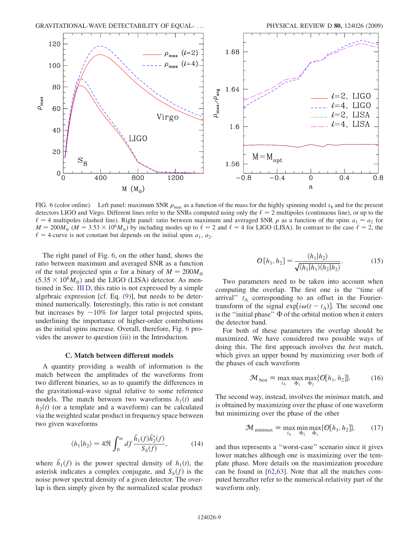<span id="page-8-0"></span>

FIG. 6 (color online). Left panel: maximum SNR  $\rho_{\text{max}}$  as a function of the mass for the highly spinning model  $s_8$  and for the present detectors LIGO and Virgo. Different lines refer to the SNRs computed using only the  $\ell = 2$  multipoles (continuous line), or up to the  $\ell = 4$  multipoles (dashed line). Right panel: ratio between maximum and averaged SNR  $\rho$  as a function of the spins  $a_1 = a_2$  for  $M = 200M_{\odot}$  ( $M = 3.53 \times 10^6 M_{\odot}$ ) by including modes up to  $\ell = 2$  and  $\ell = 4$  for LIGO (LISA). In contrast to the case  $\ell = 2$ , the  $\ell = 4$ -curve is not constant but depends on the initial spins  $a_1, a_2$ .

The right panel of Fig. [6](#page-8-0), on the other hand, shows the ratio between maximum and averaged SNR as a function of the total projected spin a for a binary of  $M = 200 M_{\odot}$  $(5.35 \times 10^6 M_{\odot})$  and the LIGO (LISA) detector. As mentioned in Sec. III D, this ratio is not expressed by a simple algebraic expression [cf. Eq. ([9](#page-5-1))], but needs to be determined numerically. Interestingly, this ratio is not constant but increases by  $\sim 10\%$  for larger total projected spins, underlining the importance of higher-order contributions as the initial spins increase. Overall, therefore, Fig. [6](#page-8-0) provides the answer to question (iii) in the Introduction.

#### C. Match between different models

A quantity providing a wealth of information is the match between the amplitudes of the waveforms from two different binaries, so as to quantify the differences in the gravitational-wave signal relative to some reference models. The match between two waveforms  $h_1(t)$  and  $h_2(t)$  (or a template and a waveform) can be calculated via the weighted scalar product in frequency space between two given waveforms

$$
\langle h_1 | h_2 \rangle = 4 \Re \int_0^\infty df \frac{\tilde{h}_1(f) \tilde{h}_2^*(f)}{S_h(f)},\tag{14}
$$

where  $\tilde{h}_1(f)$  is the power spectral density of  $h_1(t)$ , the asterisk indicates a complex conjugate and  $S_1(f)$  is the asterisk indicates a complex conjugate, and  $S_h(f)$  is the noise power spectral density of a given detector. The overlap is then simply given by the normalized scalar product

$$
\mathcal{O}[h_1, h_2] = \frac{\langle h_1 | h_2 \rangle}{\sqrt{\langle h_1 | h_1 \rangle \langle h_2 | h_2 \rangle}}.
$$
 (15)

Two parameters need to be taken into account when computing the overlap. The first one is the ''time of arrival"  $t_A$  corresponding to an offset in the Fouriertransform of the signal  $exp[i\omega(t - t_A)]$ . The second one is the "initial phase"  $\Phi$  of the orbital motion when it enters the detector band.

For both of these parameters the overlap should be maximized. We have considered two possible ways of doing this. The first approach involves the best match, which gives an upper bound by maximizing over both of the phases of each waveform

$$
\mathcal{M}_{\text{best}} \equiv \max_{t_{\text{A}}} \max_{\Phi_1} \max_{\Phi_2} \{ \mathcal{O}[h_1, h_2] \}. \tag{16}
$$

<span id="page-8-2"></span><span id="page-8-1"></span>The second way, instead, involves the minimax match, and is obtained by maximizing over the phase of one waveform but minimizing over the phase of the other

$$
\mathcal{M}_{\text{minimax}} \equiv \max_{l_{\text{A}}} \min_{\Phi_2} \max_{\Phi_1} \{\mathcal{O}[h_1, h_2]\},\tag{17}
$$

and thus represents a ''worst-case'' scenario since it gives lower matches although one is maximizing over the template phase. More details on the maximization procedure can be found in [\[62](#page-17-31)[,63\]](#page-17-32). Note that all the matches computed hereafter refer to the numerical-relativity part of the waveform only.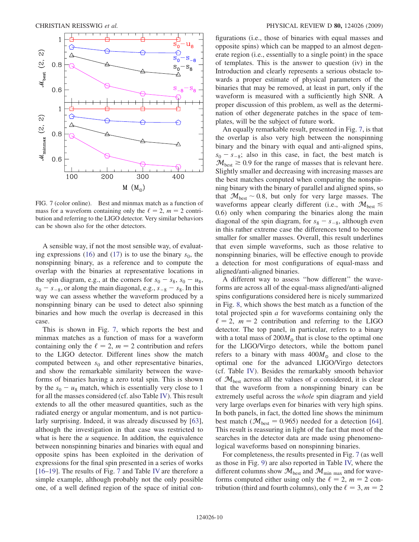<span id="page-9-0"></span>

FIG. 7 (color online). Best and minmax match as a function of mass for a waveform containing only the  $\ell = 2$ ,  $m = 2$  contribution and referring to the LIGO detector. Very similar behaviors can be shown also for the other detectors.

A sensible way, if not the most sensible way, of evaluat-ing expressions ([16](#page-8-1)) and ([17](#page-8-2)) is to use the binary  $s_0$ , the nonspinning binary, as a reference and to compute the overlap with the binaries at representative locations in the spin diagram, e.g., at the corners for  $s_0 - s_8$ ,  $s_0 - u_8$ ,  $s_0 - s_{-8}$ , or along the main diagonal, e.g.,  $s_{-8} - s_8$ . In this way we can assess whether the waveform produced by a nonspinning binary can be used to detect also spinning binaries and how much the overlap is decreased in this case.

This is shown in Fig. [7,](#page-9-0) which reports the best and minmax matches as a function of mass for a waveform containing only the  $\ell = 2$ ,  $m = 2$  contribution and refers to the LIGO detector. Different lines show the match computed between  $s_0$  and other representative binaries, and show the remarkable similarity between the waveforms of binaries having a zero total spin. This is shown by the  $s_0 - u_8$  match, which is essentially very close to 1 for all the masses considered (cf. also Table [IV\)](#page-10-0). This result extends to all the other measured quantities, such as the radiated energy or angular momentum, and is not particularly surprising. Indeed, it was already discussed by [\[63\]](#page-17-32), although the investigation in that case was restricted to what is here the  $u$  sequence. In addition, the equivalence between nonspinning binaries and binaries with equal and opposite spins has been exploited in the derivation of expressions for the final spin presented in a series of works [\[16–](#page-17-33)[19\]](#page-17-34). The results of Fig. [7](#page-9-0) and Table [IV](#page-10-0) are therefore a simple example, although probably not the only possible one, of a well defined region of the space of initial configurations (i.e., those of binaries with equal masses and opposite spins) which can be mapped to an almost degenerate region (i.e., essentially to a single point) in the space of templates. This is the answer to question (iv) in the Introduction and clearly represents a serious obstacle towards a proper estimate of physical parameters of the binaries that may be removed, at least in part, only if the waveform is measured with a sufficiently high SNR. A proper discussion of this problem, as well as the determination of other degenerate patches in the space of templates, will be the subject of future work.

An equally remarkable result, presented in Fig. [7,](#page-9-0) is that the overlap is also very high between the nonspinning binary and the binary with equal and anti-aligned spins,  $s_0 - s_{-8}$ ; also in this case, in fact, the best match is  $\mathcal{M}_{\text{best}} \geq 0.9$  for the range of masses that is relevant here. Slightly smaller and decreasing with increasing masses are the best matches computed when comparing the nonspinning binary with the binary of parallel and aligned spins, so that  $\mathcal{M}_{\text{best}} \sim 0.8$ , but only for very large masses. The waveforms appear clearly different (i.e., with  $\mathcal{M}_{best} \leq$ 0:6) only when comparing the binaries along the main diagonal of the spin diagram, for  $s_8 - s_{-8}$ , although even in this rather extreme case the differences tend to become smaller for smaller masses. Overall, this result underlines that even simple waveforms, such as those relative to nonspinning binaries, will be effective enough to provide a detection for most configurations of equal-mass and aligned/anti-aligned binaries.

A different way to assess ''how different'' the waveforms are across all of the equal-mass aligned/anti-aligned spins configurations considered here is nicely summarized in Fig. [8,](#page-11-0) which shows the best match as a function of the total projected spin a for waveforms containing only the  $\ell = 2$ ,  $m = 2$  contribution and referring to the LIGO detector. The top panel, in particular, refers to a binary with a total mass of  $200M<sub>o</sub>$  that is close to the optimal one for the LIGO/Virgo detectors, while the bottom panel refers to a binary with mass  $400M_{\odot}$  and close to the optimal one for the advanced LIGO/Virgo detectors (cf. Table [IV\)](#page-10-0). Besides the remarkably smooth behavior of  $\mathcal{M}_{\text{best}}$  across all the values of a considered, it is clear that the waveform from a nonspinning binary can be extremely useful across the whole spin diagram and yield very large overlaps even for binaries with very high spins. In both panels, in fact, the dotted line shows the minimum best match ( $\mathcal{M}_{best} = 0.965$ ) needed for a detection [[64\]](#page-17-35). This result is reassuring in light of the fact that most of the searches in the detector data are made using phenomenological waveforms based on nonspinning binaries.

For completeness, the results presented in Fig. [7](#page-9-0) (as well as those in Fig. [9](#page-11-1)) are also reported in Table [IV,](#page-10-0) where the different columns show  $\mathcal{M}_{\text{best}}$  and  $\mathcal{M}_{\text{min}}$  max and for waveforms computed either using only the  $\ell = 2$ ,  $m = 2$  contribution (third and fourth columns), only the  $\ell = 3, m = 2$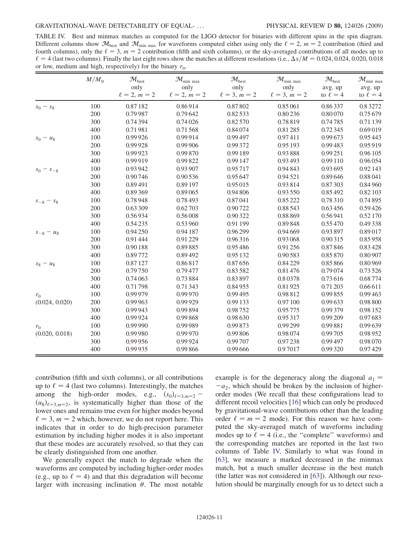<span id="page-10-0"></span>TABLE IV. Best and minmax matches as computed for the LIGO detector for binaries with different spins in the spin diagram. Different columns show  $\mathcal{M}_{\text{best}}$  and  $\mathcal{M}_{\text{min max}}$  for waveforms computed either using only the  $\ell = 2$ ,  $m = 2$  contribution (third and fourth columns), only the  $\ell = 3$ ,  $m = 2$  contribution (fifth and sixth columns), or the sky-averaged contributions of all modes up to  $\ell = 4$  (last two columns). Finally the last eight rows show the matches at different resolutions (i.e.,  $\Delta x/M = 0.024, 0.024, 0.020, 0.018$ or low, medium and high, respectively) for the binary  $r_0$ .

|                | $M/M_{\odot}$ | $\mathcal{M}_{\text{best}}$ | $\mathcal{M}_{\text{min max}}$ | $\mathcal{M}_{\text{best}}$ | $\mathcal{M}_{\text{min max}}$ | $\mathcal{M}_{\text{best}}$ | $\mathcal{M}_{\text{min max}}$ |
|----------------|---------------|-----------------------------|--------------------------------|-----------------------------|--------------------------------|-----------------------------|--------------------------------|
|                |               | only                        | only                           | only                        | only                           | avg. up                     | avg. up                        |
|                |               | $\ell = 2, m = 2$           | $\ell = 2, m = 2$              | $\ell = 3, m = 2$           | $\ell = 3, m = 2$              | to $\ell = 4$               | to $\ell = 4$                  |
| $s_0 - s_8$    | 100           | 0.87182                     | 0.86914                        | 0.87802                     | 0.85061                        | 0.86337                     | 0.83272                        |
|                | 200           | 0.79987                     | 0.79642                        | 0.82533                     | 0.80236                        | 0.80070                     | 0.75 679                       |
|                | 300           | 0.74394                     | 0.74026                        | 0.82570                     | 0.78819                        | 0.74785                     | 0.71 139                       |
|                | 400           | 0.71981                     | 0.71568                        | 0.84 074                    | 0.81285                        | 0.72345                     | 0.69019                        |
| $s_0 - u_8$    | 100           | 0.99926                     | 0.99914                        | 0.99 497                    | 0.97411                        | 0.99673                     | 0.95 443                       |
|                | 200           | 0.99928                     | 0.99 906                       | 0.99 372                    | 0.95 193                       | 0.99483                     | 0.95919                        |
|                | 300           | 0.99 923                    | 0.99870                        | 0.99 189                    | 0.93888                        | 0.99 251                    | 0.96 105                       |
|                | 400           | 0.99919                     | 0.99822                        | 0.99 147                    | 0.93 493                       | 0.99 110                    | 0.96054                        |
| $s_0 - s_{-8}$ | 100           | 0.93 942                    | 0.93 907                       | 0.95717                     | 0.94843                        | 0.93 695                    | 0.92 143                       |
|                | 200           | 0.90746                     | 0.90 536                       | 0.95 647                    | 0.94521                        | 0.89646                     | 0.88041                        |
|                | 300           | 0.89491                     | 0.89 197                       | 0.95 015                    | 0.93814                        | 0.87303                     | 0.84960                        |
|                | 400           | 0.89369                     | 0.89065                        | 0.94 806                    | 0.93 550                       | 0.85 492                    | 0.82 103                       |
| $s_{-8} - s_8$ | 100           | 0.78948                     | 0.78493                        | 0.87041                     | 0.85 222                       | 0.78310                     | 0.74895                        |
|                | 200           | 0.63 309                    | 0.62703                        | 0.90722                     | 0.88543                        | 0.63456                     | 0.59426                        |
|                | 300           | 0.56934                     | 0.56008                        | 0.90322                     | 0.88869                        | 0.56941                     | 0.52 170                       |
|                | 400           | 0.54 235                    | 0.53960                        | 0.91 199                    | 0.89848                        | 0.55470                     | 0.49338                        |
| $s_{-8} - u_8$ | 100           | 0.94 250                    | 0.94 187                       | 0.96 299                    | 0.94 669                       | 0.93897                     | 0.89017                        |
|                | 200           | 0.91 444                    | 0.91 229                       | 0.96316                     | 0.93 068                       | 0.90315                     | 0.85958                        |
|                | 300           | 0.90 188                    | 0.89885                        | 0.95486                     | 0.91 256                       | 0.87846                     | 0.83428                        |
|                | 400           | 0.89772                     | 0.89492                        | 0.95 132                    | 0.90583                        | 0.85870                     | 0.80907                        |
| $s_8 - u_8$    | 100           | 0.87 127                    | 0.86817                        | 0.87656                     | 0.84229                        | 0.85866                     | 0.80969                        |
|                | 200           | 0.79750                     | 0.79477                        | 0.83582                     | 0.81476                        | 0.79074                     | 0.73526                        |
|                | 300           | 0.74 063                    | 0.73884                        | 0.83897                     | 0.80378                        | 0.73616                     | 0.68774                        |
|                | 400           | 0.71798                     | 0.71343                        | 0.84955                     | 0.81925                        | 0.71 203                    | 0.66611                        |
| $r_0$          | 100           | 0.99 979                    | 0.99970                        | 0.99495                     | 0.98812                        | 0.99855                     | 0.99463                        |
| (0.024, 0.020) | 200           | 0.99 963                    | 0.99929                        | 0.99 133                    | 0.97 100                       | 0.99633                     | 0.98800                        |
|                | 300           | 0.99 943                    | 0.99894                        | 0.98752                     | 0.95775                        | 0.99379                     | 0.98 152                       |
|                | 400           | 0.99 924                    | 0.99868                        | 0.98 630                    | 0.95317                        | 0.99 209                    | 0.97683                        |
| $r_0$          | 100           | 0.99 990                    | 0.99989                        | 0.99873                     | 0.99 299                       | 0.99881                     | 0.99639                        |
| (0.020, 0.018) | 200           | 0.99 980                    | 0.99970                        | 0.99806                     | 0.98074                        | 0.99705                     | 0.98952                        |
|                | 300           | 0.99 956                    | 0.99924                        | 0.99707                     | 0.97238                        | 0.99 497                    | 0.98 070                       |
|                | 400           | 0.99 935                    | 0.99866                        | 0.99 666                    | 0.97017                        | 0.99320                     | 0.97429                        |

contribution (fifth and sixth columns), or all contributions up to  $\ell = 4$  (last two columns). Interestingly, the matches among the high-order modes, e.g.,  $(s_0)_{\ell=3,m=2}$  $(u_8)_{\ell=3,m=2}$ , is systematically higher than those of the lower ones and remains true even for higher modes beyond  $\ell = 3$ ,  $m = 2$  which, however, we do not report here. This indicates that in order to do high-precision parameter estimation by including higher modes it is also important that these modes are accurately resolved, so that they can be clearly distinguished from one another.

We generally expect the match to degrade when the waveforms are computed by including higher-order modes (e.g., up to  $\ell = 4$ ) and that this degradation will become larger with increasing inclination  $\theta$ . The most notable example is for the degeneracy along the diagonal  $a_1$  =  $-a<sub>2</sub>$ , which should be broken by the inclusion of higherorder modes (We recall that these configurations lead to different recoil velocities [[16](#page-17-33)] which can only be produced by gravitational-wave contributions other than the leading order  $\ell = m = 2$  mode). For this reason we have computed the sky-averaged match of waveforms including modes up to  $\ell = 4$  (i.e., the "complete" waveforms) and the corresponding matches are reported in the last two columns of Table [IV.](#page-10-0) Similarly to what was found in [\[63\]](#page-17-32), we measure a marked decreased in the minmax match, but a much smaller decrease in the best match (the latter was not considered in [[63](#page-17-32)]). Although our resolution should be marginally enough for us to detect such a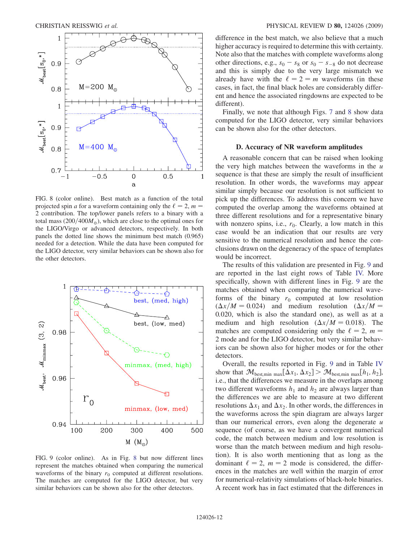<span id="page-11-0"></span>

FIG. 8 (color online). Best match as a function of the total projected spin a for a waveform containing only the  $\ell = 2$ ,  $m =$ 2 contribution. The top/lower panels refers to a binary with a total mass  $(200/400M)$ , which are close to the optimal ones for the LIGO/Virgo or advanced detectors, respectively. In both panels the dotted line shows the minimum best match (0.965) needed for a detection. While the data have been computed for the LIGO detector, very similar behaviors can be shown also for the other detectors.

<span id="page-11-1"></span>

FIG. 9 (color online). As in Fig. [8](#page-11-0) but now different lines represent the matches obtained when comparing the numerical waveforms of the binary  $r_0$  computed at different resolutions. The matches are computed for the LIGO detector, but very similar behaviors can be shown also for the other detectors.

difference in the best match, we also believe that a much higher accuracy is required to determine this with certainty. Note also that the matches with complete waveforms along other directions, e.g.,  $s_0 - s_8$  or  $s_0 - s_{-8}$  do not decrease and this is simply due to the very large mismatch we already have with the  $\ell = 2 = m$  waveforms (in these cases, in fact, the final black holes are considerably different and hence the associated ringdowns are expected to be different).

Finally, we note that although Figs. [7](#page-9-0) and [8](#page-11-0) show data computed for the LIGO detector, very similar behaviors can be shown also for the other detectors.

# D. Accuracy of NR waveform amplitudes

A reasonable concern that can be raised when looking the very high matches between the waveforms in the  $u$ sequence is that these are simply the result of insufficient resolution. In other words, the waveforms may appear similar simply because our resolution is not sufficient to pick up the differences. To address this concern we have computed the overlap among the waveforms obtained at three different resolutions and for a representative binary with nonzero spins, i.e.,  $r_0$ . Clearly, a low match in this case would be an indication that our results are very sensitive to the numerical resolution and hence the conclusions drawn on the degeneracy of the space of templates would be incorrect.

The results of this validation are presented in Fig. [9](#page-11-1) and are reported in the last eight rows of Table [IV.](#page-10-0) More specifically, shown with different lines in Fig. [9](#page-11-1) are the matches obtained when comparing the numerical waveforms of the binary  $r_0$  computed at low resolution  $(\Delta x/M = 0.024)$  and medium resolution  $(\Delta x/M = 0.024)$ 0:020, which is also the standard one), as well as at a medium and high resolution ( $\Delta x/M = 0.018$ ). The matches are computed considering only the  $\ell = 2$ ,  $m =$ 2 mode and for the LIGO detector, but very similar behaviors can be shown also for higher modes or for the other detectors.

Overall, the results reported in Fig. [9](#page-11-1) and in Table [IV](#page-10-0) show that  $\mathcal{M}_{\text{best,min max}}[\Delta x_1, \Delta x_2] > \mathcal{M}_{\text{best,min max}}[h_1, h_2],$ i.e., that the differences we measure in the overlaps among two different waveforms  $h_1$  and  $h_2$  are always larger than the differences we are able to measure at two different resolutions  $\Delta x_1$  and  $\Delta x_2$ . In other words, the differences in the waveforms across the spin diagram are always larger than our numerical errors, even along the degenerate  $u$ sequence (of course, as we have a convergent numerical code, the match between medium and low resolution is worse than the match between medium and high resolution). It is also worth mentioning that as long as the dominant  $\ell = 2$ ,  $m = 2$  mode is considered, the differences in the matches are well within the margin of error for numerical-relativity simulations of black-hole binaries. A recent work has in fact estimated that the differences in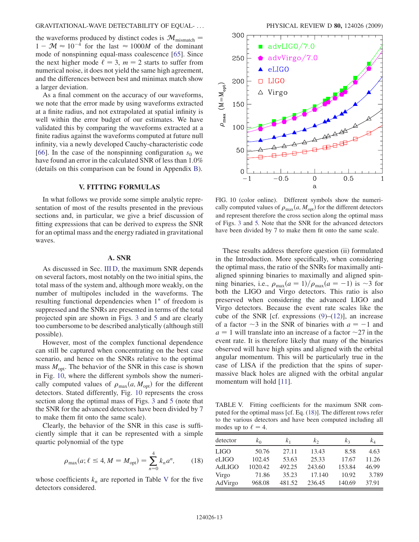the waveforms produced by distinct codes is  $\mathcal{M}_{\text{mismatch}} =$  $1 - M \approx 10^{-4}$  for the last  $\approx 1000M$  of the dominant mode of nonspinning equal-mass coalescence [[65](#page-17-36)]. Since the next higher mode  $\ell = 3$ ,  $m = 2$  starts to suffer from numerical noise, it does not yield the same high agreement, and the differences between best and minimax match show a larger deviation.

As a final comment on the accuracy of our waveforms, we note that the error made by using waveforms extracted at a finite radius, and not extrapolated at spatial infinity is well within the error budget of our estimates. We have validated this by comparing the waveforms extracted at a finite radius against the waveforms computed at future null infinity, via a newly developed Cauchy-characteristic code [\[66\]](#page-17-37). In the case of the nonspinning configuration  $s_0$  we have found an error in the calculated SNR of less than 1.0% (details on this comparison can be found in Appendix B).

# V. FITTING FORMULAS

In what follows we provide some simple analytic representation of most of the results presented in the previous sections and, in particular, we give a brief discussion of fitting expressions that can be derived to express the SNR for an optimal mass and the energy radiated in gravitational waves.

## A. SNR

As discussed in Sec. III D, the maximum SNR depends on several factors, most notably on the two initial spins, the total mass of the system and, although more weakly, on the number of multipoles included in the waveforms. The resulting functional dependencies when 1<sup>°</sup> of freedom is suppressed and the SNRs are presented in terms of the total projected spin are shown in Figs. [3](#page-6-0) and [5](#page-7-1) and are clearly too cumbersome to be described analytically (although still possible).

However, most of the complex functional dependence can still be captured when concentrating on the best case scenario, and hence on the SNRs relative to the optimal mass  $M_{\text{opt}}$ . The behavior of the SNR in this case is shown in Fig. [10,](#page-12-0) where the different symbols show the numerically computed values of  $\rho_{\text{max}}(a, M_{\text{opt}})$  for the different detectors. Stated differently, Fig. [10](#page-12-0) represents the cross section along the optimal mass of Figs. [3](#page-6-0) and [5](#page-7-1) (note that the SNR for the advanced detectors have been divided by 7 to make them fit onto the same scale).

<span id="page-12-2"></span>Clearly, the behavior of the SNR in this case is sufficiently simple that it can be represented with a simple quartic polynomial of the type

$$
\rho_{\text{max}}(a; \ell \le 4, M = M_{\text{opt}}) = \sum_{n=0}^{4} k_n a^n, \qquad (18)
$$

whose coefficients  $k_n$  are reported in Table [V](#page-12-1) for the five detectors considered.

<span id="page-12-0"></span>

FIG. 10 (color online). Different symbols show the numerically computed values of  $\rho_{\text{max}}(a, M_{\text{opt}})$  for the different detectors and represent therefore the cross section along the optimal mass of Figs. [3](#page-6-0) and [5.](#page-7-1) Note that the SNR for the advanced detectors have been divided by 7 to make them fit onto the same scale.

These results address therefore question (ii) formulated in the Introduction. More specifically, when considering the optimal mass, the ratio of the SNRs for maximally antialigned spinning binaries to maximally and aligned spinning binaries, i.e.,  $\rho_{\text{max}}(a=1)/\rho_{\text{max}}(a=-1)$  is ~3 for both the LIGO and Virgo detectors. This ratio is also preserved when considering the advanced LIGO and Virgo detectors. Because the event rate scales like the cube of the SNR [cf. expressions  $(9)$ – $(12)$  $(12)$  $(12)$ ], an increase of a factor  $\sim$ 3 in the SNR of binaries with  $a = -1$  and  $a = 1$  will translate into an increase of a factor  $\sim$ 27 in the event rate. It is therefore likely that many of the binaries observed will have high spins and aligned with the orbital angular momentum. This will be particularly true in the case of LISA if the prediction that the spins of supermassive black holes are aligned with the orbital angular momentum will hold [\[11\]](#page-16-7).

<span id="page-12-1"></span>TABLE V. Fitting coefficients for the maximum SNR computed for the optimal mass [cf. Eq. [\(18\)](#page-12-2)]. The different rows refer to the various detectors and have been computed including all modes up to  $\ell = 4$ .

| detector    | $k_0$   | k <sub>1</sub> | k <sub>2</sub> | k <sub>3</sub> | kΔ    |
|-------------|---------|----------------|----------------|----------------|-------|
| <b>LIGO</b> | 50.76   | 27.11          | 13.43          | 8.58           | 4.63  |
| eLIGO       | 102.45  | 53.63          | 25.33          | 17.67          | 11.26 |
| AdLIGO      | 1020.42 | 492.25         | 243.60         | 153.84         | 46.99 |
| Virgo       | 71.86   | 35.23          | 17.140         | 10.92          | 3.789 |
| AdVirgo     | 968.08  | 481.52         | 236.45         | 140.69         | 37.91 |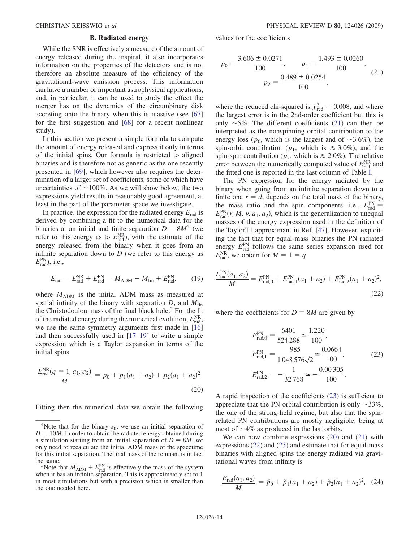# B. Radiated energy

While the SNR is effectively a measure of the amount of energy released during the inspiral, it also incorporates information on the properties of the detectors and is not therefore an absolute measure of the efficiency of the gravitational-wave emission process. This information can have a number of important astrophysical applications, and, in particular, it can be used to study the effect the merger has on the dynamics of the circumbinary disk accreting onto the binary when this is massive (see [\[67\]](#page-17-38) for the first suggestion and [\[68\]](#page-17-39) for a recent nonlinear study).

In this section we present a simple formula to compute the amount of energy released and express it only in terms of the initial spins. Our formula is restricted to aligned binaries and is therefore not as generic as the one recently presented in [[69](#page-17-40)], which however also requires the determination of a larger set of coefficients, some of which have uncertainties of  $\sim$ 100%. As we will show below, the two expressions yield results in reasonably good agreement, at least in the part of the parameter space we investigate.

In practice, the expression for the radiated energy  $E_{rad}$  is derived by combining a fit to the numerical data for the binaries at an initial and finite separation  $D = 8M^4$  (we refer to this energy as to  $E_{\text{rad}}^{\text{NR}}$ ), with the estimate of the energy released from the binary when it goes from an infinite separation down to  $D$  (we refer to this energy as  $E_{\text{rad}}^{\text{PN}}$ ), i.e.,

$$
E_{\rm rad} = E_{\rm rad}^{\rm NR} + E_{\rm rad}^{\rm PN} = M_{\rm ADM} - M_{\rm fin} + E_{\rm rad}^{\rm PN},\qquad(19)
$$

where  $M_{\text{ADM}}$  is the initial ADM mass as measured at spatial infinity of the binary with separation  $D$ , and  $M_{fin}$ the Christodoulou mass of the final black hole. $5$  For the fit of the radiated energy during the numerical evolution,  $E_{\text{rad}}^{\text{NR}}$ , we use the same symmetry arguments first made in [\[16\]](#page-17-33) and then successfully used in [\[17–](#page-17-41)[19](#page-17-34)] to write a simple expression which is a Taylor expansion in terms of the initial spins

<span id="page-13-2"></span>
$$
\frac{E_{\text{rad}}^{\text{NR}}(q=1, a_1, a_2)}{M} = p_0 + p_1(a_1 + a_2) + p_2(a_1 + a_2)^2.
$$
\n(20)

Fitting then the numerical data we obtain the following

<span id="page-13-0"></span>values for the coefficients

$$
p_0 = \frac{3.606 \pm 0.0271}{100}, \qquad p_1 = \frac{1.493 \pm 0.0260}{100},
$$
  

$$
p_2 = \frac{0.489 \pm 0.0254}{100}.
$$
 (21)

where the reduced chi-squared is  $\chi^2_{\text{red}} = 0.008$ , and where the largest error is in the 2nd-order coefficient but this is the largest error is in the 2nd-order coefficient but this is only  $\sim$  5%. The different coefficients [\(21\)](#page-13-0) can then be interpreted as the nonspinning orbital contribution to the energy loss ( $p_0$ , which is the largest and of  $\sim 3.6\%$ ), the spin-orbit contribution ( $p_1$ , which is  $\leq 3.0\%$ ), and the spin-spin contribution ( $p_2$ , which is  $\leq 2.0\%$ ). The relative error between the numerically computed value of  $E_{\text{rad}}^{\text{NR}}$  and the fitted one is reported in the last column of Table [I](#page-2-0).

The PN expression for the energy radiated by the binary when going from an infinite separation down to a finite one  $r = d$ , depends on the total mass of the binary, the mass ratio and the spin components, i.e.,  $E_{rad}^{PN}$  =  $E_{\text{rad}}^{\text{PN}}(r, M, v, a_1, a_2)$ , which is the generalization to unequal<br>masses of the energy expression used in the definition of masses of the energy expression used in the definition of the TaylorT1 approximant in Ref. [[47](#page-17-22)]. However, exploiting the fact that for equal-mass binaries the PN radiated energy  $E_{\text{rad}}^{\text{PN}}$  follows the same series expansion used for  $E_{\text{rad}}^{\text{NR}}$ , we obtain for  $M = 1 = q$ 

<span id="page-13-3"></span>
$$
\frac{E_{\text{rad}}^{\text{PN}}(a_1, a_2)}{M} = E_{\text{rad},0}^{\text{PN}} + E_{\text{rad},1}^{\text{PN}}(a_1 + a_2) + E_{\text{rad},2}^{\text{PN}}(a_1 + a_2)^2,
$$
\n(22)

<span id="page-13-1"></span>where the coefficients for  $D = 8M$  are given by

$$
E_{\text{rad},0}^{\text{PN}} = \frac{6401}{524\,288} \approx \frac{1.220}{100},
$$
  
\n
$$
E_{\text{rad},1}^{\text{PN}} = \frac{985}{1\,048\,576\sqrt{2}} \approx \frac{0.0664}{100},
$$
  
\n
$$
E_{\text{rad},2}^{\text{PN}} = -\frac{1}{32\,768} \approx -\frac{0.00\,305}{100}.
$$
 (23)

A rapid inspection of the coefficients [\(23\)](#page-13-1) is sufficient to appreciate that the PN orbital contribution is only  $\sim$ 33%, the one of the strong-field regime, but also that the spinrelated PN contributions are mostly negligible, being at most of  $\sim$ 4% as produced in the last orbits.

We can now combine expressions ([20](#page-13-2)) and [\(21\)](#page-13-0) with expressions ([22](#page-13-3)) and ([23](#page-13-1)) and estimate that for equal-mass binaries with aligned spins the energy radiated via gravitational waves from infinity is

<span id="page-13-4"></span>
$$
\frac{E_{\text{rad}}(a_1, a_2)}{M} = \tilde{p}_0 + \tilde{p}_1(a_1 + a_2) + \tilde{p}_2(a_1 + a_2)^2, \quad (24)
$$

<sup>&</sup>lt;sup>4</sup>Note that for the binary  $s_0$ , we use an initial separation of  $D = 10M$ . In order to obtain the radiated energy obtained during a simulation starting from an initial separation of  $D = 8M$ , we only need to recalculate the initial ADM mass of the spacetime for this initial separation. The final mass of the remnant is in fact the same.

Note that  $M_{ADM} + E_{rad}^{PN}$  is effectively the mass of the system<br>en it has an infinite separation. This is approximately set to 1 when it has an infinite separation. This is approximately set to 1 in most simulations but with a precision which is smaller than the one needed here.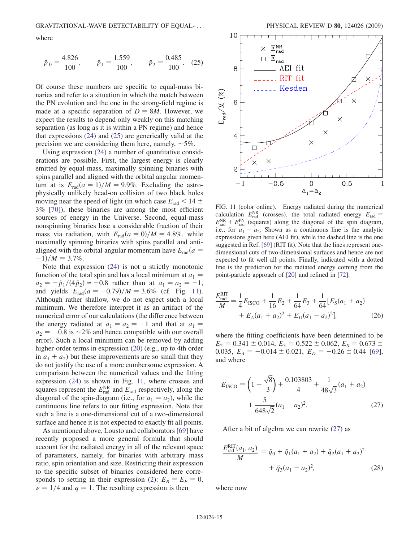<span id="page-14-0"></span>where

$$
\tilde{p}_0 = \frac{4.826}{100},
$$
\n $\tilde{p}_1 = \frac{1.559}{100},$ \n $\tilde{p}_2 = \frac{0.485}{100}.$ \n(25)

Of course these numbers are specific to equal-mass binaries and refer to a situation in which the match between the PN evolution and the one in the strong-field regime is made at a specific separation of  $D = 8M$ . However, we expect the results to depend only weakly on this matching separation (as long as it is within a PN regime) and hence that expressions ([24\)](#page-13-4) and ([25](#page-14-0)) are generically valid at the precision we are considering them here, namely,  $\sim 5\%$ .

Using expression ([24](#page-13-4)) a number of quantitative considerations are possible. First, the largest energy is clearly emitted by equal-mass, maximally spinning binaries with spins parallel and aligned with the orbital angular momentum at is  $E_{rad}(a=1)/M = 9.9\%$ . Excluding the astrophysically unlikely head-on collision of two black holes moving near the speed of light (in which case  $E_{rad}$  < 14  $\pm$ 3% [[70](#page-17-42)]), these binaries are among the most efficient sources of energy in the Universe. Second, equal-mass nonspinning binaries lose a considerable fraction of their mass via radiation, with  $E_{rad}(a=0)/M = 4.8\%$ , while maximally spinning binaries with spins parallel and antialigned with the orbital angular momentum have  $E_{rad}(a =$  $-1$ )/*M* = 3.7%.

Note that expression ([24](#page-13-4)) is not a strictly monotonic function of the total spin and has a local minimum at  $a_1 =$  $a_2 = -\tilde{p}_1/(4\tilde{p}_2) \approx -0.8$  rather than at  $a_1 = a_2 = -1$ , and yields  $E_{rad}(a = -0.79)/M = 3.6\%$  (cf. Fig. [11\)](#page-14-1). Although rather shallow, we do not expect such a local minimum. We therefore interpret it as an artifact of the numerical error of our calculations (the difference between the energy radiated at  $a_1 = a_2 = -1$  and that at  $a_1 =$  $a_2 = -0.8$  is  $\sim$  2% and hence compatible with our overall error). Such a local minimum can be removed by adding higher-order terms in expression [\(20\)](#page-13-2) (e.g., up to 4th order in  $a_1 + a_2$ ) but these improvements are so small that they do not justify the use of a more cumbersome expression. A comparison between the numerical values and the fitting expression ([24](#page-13-4)) is shown in Fig. [11](#page-14-1), where crosses and squares represent the  $E_{\text{rad}}^{\text{NR}}$  and  $E_{\text{rad}}$  respectively, along the diagonal of the spin-diagram (i.e., for  $a_1 = a_2$ ), while the continuous line refers to our fitting expression. Note that such a line is a one-dimensional cut of a two-dimensional surface and hence it is not expected to exactly fit all points.

As mentioned above, Lousto and collaborators [\[69\]](#page-17-40) have recently proposed a more general formula that should account for the radiated energy in all of the relevant space of parameters, namely, for binaries with arbitrary mass ratio, spin orientation and size. Restricting their expression to the specific subset of binaries considered here corre-sponds to setting in their expression ([2\)](#page-4-2):  $E_B = E_E = 0$ ,  $\nu = 1/4$  and  $q = 1$ . The resulting expression is then

<span id="page-14-1"></span>

FIG. 11 (color online). Energy radiated during the numerical calculation  $E_{\text{rad}}^{\text{NR}}$  (crosses), the total radiated energy  $E_{\text{rad}} = E_{\text{NR}} + E_{\text{FN}}$  (squares) along the diagonal of the spin diagram  $E_{\text{rad}}^{\text{NR}} + E_{\text{rad}}^{\text{PN}}$  (squares) along the diagonal of the spin diagram, i.e., for  $a_1 = a_2$ . Shown as a continuous line is the analytic expressions given here (AEI fit), while the dashed line is the one suggested in Ref. [\[69\]](#page-17-40) (RIT fit). Note that the lines represent onedimensional cuts of two-dimensional surfaces and hence are not expected to fit well all points. Finally, indicated with a dotted line is the prediction for the radiated energy coming from the point-particle approach of [\[20\]](#page-17-43) and refined in [\[72\]](#page-17-44).

$$
\frac{E_{\text{rad}}^{\text{RIT}}}{M} = \frac{1}{4} E_{\text{ISCO}} + \frac{1}{16} E_2 + \frac{1}{64} E_3 + \frac{1}{64} [E_S(a_1 + a_2) + E_A(a_1 + a_2)^2 + E_D(a_1 - a_2)^2],
$$
\n(26)

where the fitting coefficients have been determined to be  $E_2 = 0.341 \pm 0.014$ ,  $E_3 = 0.522 \pm 0.062$ ,  $E_S = 0.673 \pm 0.014$ 0.035,  $E_A = -0.014 \pm 0.021$ ,  $E_D = -0.26 \pm 0.44$  [[69\]](#page-17-40), and where

<span id="page-14-2"></span>
$$
E_{\text{ISCO}} = \left(1 - \frac{\sqrt{8}}{3}\right) + \frac{0.103803}{4} + \frac{1}{48\sqrt{3}}(a_1 + a_2) + \frac{5}{648\sqrt{2}}(a_1 - a_2)^2. \tag{27}
$$

<span id="page-14-3"></span>After a bit of algebra we can rewrite ([27](#page-14-2)) as

$$
\frac{E_{\text{rad}}^{\text{RIT}}(a_1, a_2)}{M} = \tilde{q}_0 + \tilde{q}_1(a_1 + a_2) + \tilde{q}_2(a_1 + a_2)^2
$$

$$
+ \tilde{q}_3(a_1 - a_2)^2, \tag{28}
$$

where now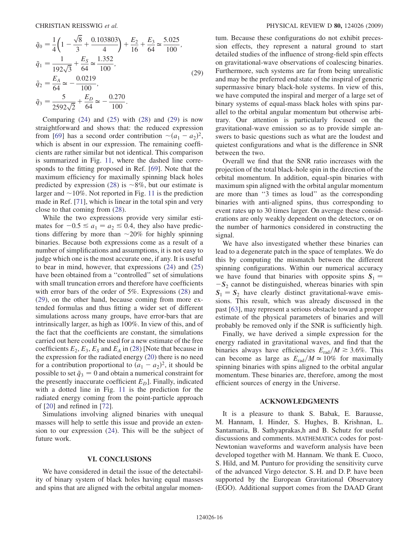<span id="page-15-0"></span>
$$
\tilde{q}_0 = \frac{1}{4} \left( 1 - \frac{\sqrt{8}}{3} + \frac{0.103803}{4} \right) + \frac{E_2}{16} + \frac{E_3}{64} \approx \frac{5.025}{100},
$$
\n
$$
\tilde{q}_1 = \frac{1}{192\sqrt{3}} + \frac{E_5}{64} \approx \frac{1.352}{100},
$$
\n
$$
\tilde{q}_2 = \frac{E_A}{64} \approx -\frac{0.0219}{100},
$$
\n
$$
\tilde{q}_3 = \frac{5}{2592\sqrt{2}} + \frac{E_D}{64} \approx -\frac{0.270}{100}.
$$
\n(29)

Comparing  $(24)$  $(24)$  $(24)$  and  $(25)$  with  $(28)$  and  $(29)$  $(29)$  $(29)$  is now straightforward and shows that: the reduced expression from [\[69\]](#page-17-40) has a second order contribution  $\sim (a_1 - a_2)^2$ ,<br>which is absent in our expression. The remaining coeffiwhich is absent in our expression. The remaining coefficients are rather similar but not identical. This comparison is summarized in Fig. [11](#page-14-1), where the dashed line corresponds to the fitting proposed in Ref. [\[69\]](#page-17-40). Note that the maximum efficiency for maximally spinning black holes predicted by expression [\(28\)](#page-14-3) is  $\sim 8\%$ , but our estimate is larger and  $\sim$ 10%. Not reported in Fig. [11](#page-14-1) is the prediction made in Ref. [\[71\]](#page-17-45), which is linear in the total spin and very close to that coming from ([28](#page-14-3)).

While the two expressions provide very similar estimates for  $-0.5 \le a_1 = a_2 \le 0.4$ , they also have predictions differing by more than  $\sim$ 20% for highly spinning binaries. Because both expressions come as a result of a number of simplifications and assumptions, it is not easy to judge which one is the most accurate one, if any. It is useful to bear in mind, however, that expressions ([24](#page-13-4)) and [\(25\)](#page-14-0) have been obtained from a ''controlled'' set of simulations with small truncation errors and therefore have coefficients with error bars of the order of 5%. Expressions [\(28\)](#page-14-3) and [\(29\)](#page-15-0), on the other hand, because coming from more extended formulas and thus fitting a wider set of different simulations across many groups, have error-bars that are intrinsically larger, as high as 100%. In view of this, and of the fact that the coefficients are constant, the simulations carried out here could be used for a new estimate of the free coefficients  $E_2$ ,  $E_3$ ,  $E_S$  and  $E_A$  in [\(28\)](#page-14-3) [Note that because in the expression for the radiated energy [\(20](#page-13-2)) there is no need for a contribution proportional to  $(a_1 - a_2)^2$ , it should be<br>possible to set  $\tilde{a}_2 = 0$  and obtain a numerical constraint for possible to set  $\tilde{q}_3 = 0$  and obtain a numerical constraint for the presently inaccurate coefficient  $E_D$ ]. Finally, indicated with a dotted line in Fig. [11](#page-14-1) is the prediction for the radiated energy coming from the point-particle approach of [\[20\]](#page-17-43) and refined in [\[72\]](#page-17-44).

Simulations involving aligned binaries with unequal masses will help to settle this issue and provide an extension to our expression [\(24\)](#page-13-4). This will be the subject of future work.

# VI. CONCLUSIONS

We have considered in detail the issue of the detectability of binary system of black holes having equal masses and spins that are aligned with the orbital angular momentum. Because these configurations do not exhibit precession effects, they represent a natural ground to start detailed studies of the influence of strong-field spin effects on gravitational-wave observations of coalescing binaries. Furthermore, such systems are far from being unrealistic and may be the preferred end state of the inspiral of generic supermassive binary black-hole systems. In view of this, we have computed the inspiral and merger of a large set of binary systems of equal-mass black holes with spins parallel to the orbital angular momentum but otherwise arbitrary. Our attention is particularly focused on the gravitational-wave emission so as to provide simple answers to basic questions such as what are the loudest and quietest configurations and what is the difference in SNR between the two.

Overall we find that the SNR ratio increases with the projection of the total black-hole spin in the direction of the orbital momentum. In addition, equal-spin binaries with maximum spin aligned with the orbital angular momentum are more than ''3 times as loud'' as the corresponding binaries with anti-aligned spins, thus corresponding to event rates up to 30 times larger. On average these considerations are only weakly dependent on the detectors, or on the number of harmonics considered in constructing the signal.

We have also investigated whether these binaries can lead to a degenerate patch in the space of templates. We do this by computing the mismatch between the different spinning configurations. Within our numerical accuracy we have found that binaries with opposite spins  $S_1$  =  $-S_2$  cannot be distinguished, whereas binaries with spin  $S_1 = S_2$  have clearly distinct gravitational-wave emissions. This result, which was already discussed in the past [[63](#page-17-32)], may represent a serious obstacle toward a proper estimate of the physical parameters of binaries and will probably be removed only if the SNR is sufficiently high.

Finally, we have derived a simple expression for the energy radiated in gravitational waves, and find that the binaries always have efficiencies  $E_{rad}/M \gtrsim 3.6\%$ . This can become as large as  $E_{rad}/M \approx 10\%$  for maximally spinning binaries with spins aligned to the orbital angular momentum. These binaries are, therefore, among the most efficient sources of energy in the Universe.

## ACKNOWLEDGMENTS

It is a pleasure to thank S. Babak, E. Barausse, M. Hannam, I. Hinder, S. Hughes, B. Krishnan, L. Santamaria, B. Sathyaprakas,h and B. Schutz for useful discussions and comments. MATHEMATICA codes for post-Newtonian waveforms and waveform analysis have been developed together with M. Hannam. We thank E. Cuoco, S. Hild, and M. Punturo for providing the sensitivity curve of the advanced Virgo detector. S. H. and D. P. have been supported by the European Gravitational Observatory (EGO). Additional support comes from the DAAD Grant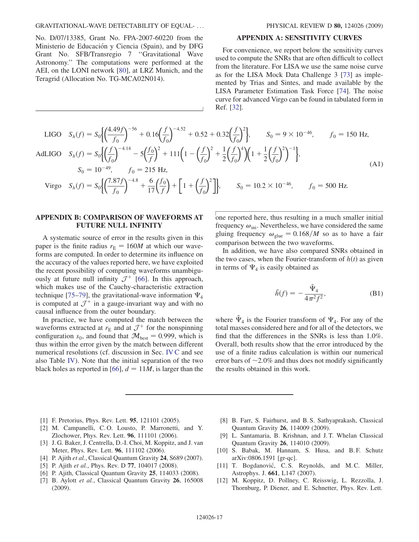## GRAVITATIONAL-WAVE DETECTABILITY OF EQUAL- ... PHYSICAL REVIEW D 80, 124026 (2009)

No. D/07/13385, Grant No. FPA-2007-60220 from the Ministerio de Educación y Ciencia (Spain), and by DFG Grant No. SFB/Transregio 7 ''Gravitational Wave Astronomy.'' The computations were performed at the AEI, on the LONI network [[80](#page-18-0)], at LRZ Munich, and the Teragrid (Allocation No. TG-MCA02N014).

## APPENDIX A: SENSITIVITY CURVES

For convenience, we report below the sensitivity curves used to compute the SNRs that are often difficult to collect from the literature. For LISA we use the same noise curve as for the LISA Mock Data Challenge 3 [\[73\]](#page-17-46) as implemented by Trias and Sintes, and made available by the LISA Parameter Estimation Task Force [[74](#page-17-47)]. The noise curve for advanced Virgo can be found in tabulated form in Ref. [\[32\]](#page-17-7).

LIGO 
$$
S_h(f) = S_0 \Biggl[ \Bigl( \frac{4.49f}{f_0} \Bigr)^{-56} + 0.16 \Bigl( \frac{f}{f_0} \Bigr)^{-4.52} + 0.52 + 0.32 \Bigl( \frac{f}{f_0} \Bigr)^2 \Biggr], \qquad S_0 = 9 \times 10^{-46}, \qquad f_0 = 150 \text{ Hz},
$$
  
AdLIGO  $S_h(f) = S_0 \Biggl[ \Bigl( \frac{f}{f_0} \Bigr)^{-4.14} - 5 \Bigl( \frac{f_0}{f} \Bigr)^2 + 111 \Bigl( 1 - \Bigl( \frac{f}{f_0} \Bigr)^2 + \frac{1}{2} \Bigl( \frac{f}{f_0} \Bigr)^4 \Bigr) \Biggl( 1 + \frac{1}{2} \Bigl( \frac{f}{f_0} \Bigr)^2 \Biggr)^{-1} \Biggr],$   
 $S_0 = 10^{-49}, \qquad f_0 = 215 \text{ Hz},$  (A1)

Virgo 
$$
S_h(f) = S_0 \left\{ \left( \frac{7.87f}{f_0} \right)^{-4.8} + \frac{6}{17} \left( \frac{f_0}{f} \right) + \left[ 1 + \left( \frac{f}{f_0} \right)^2 \right] \right\}, \qquad S_0 = 10.2 \times 10^{-46}, \qquad f_0 = 500 \text{ Hz}.
$$

# APPENDIX B: COMPARISON OF WAVEFORMS AT FUTURE NULL INFINITY

A systematic source of error in the results given in this paper is the finite radius  $r_{\rm E} = 160M$  at which our waveforms are computed. In order to determine its influence on the accuracy of the values reported here, we have exploited the recent possibility of computing waveforms unambiguously at future null infinity  $\mathcal{J}^+$  [\[66\]](#page-17-37). In this approach, which makes use of the Cauchy-characteristic extraction technique [\[75–](#page-17-48)[79](#page-18-1)], the gravitational-wave information  $\Psi_4$ is computed at  $\mathcal{J}^+$  in a gauge-invariant way and with no causal influence from the outer boundary.

In practice, we have computed the match between the waveforms extracted at  $r_{\rm E}$  and at  $\mathcal{J}^+$  for the nonspinning configuration  $s_0$ , and found that  $\mathcal{M}_{\text{best}} = 0.999$ , which is thus within the error given by the match between different numerical resolutions (cf. discussion in Sec. IV C and see also Table [IV\)](#page-10-0). Note that the initial separation of the two black holes as reported in [[66](#page-17-37)],  $d = 11M$ , is larger than the one reported here, thus resulting in a much smaller initial frequency  $\omega_{\text{ini}}$ . Nevertheless, we have considered the same gluing frequency  $\omega_{\text{glue}} = 0.168/M$  so as to have a fair comparison between the two waveforms.

In addition, we have also compared SNRs obtained in the two cases, when the Fourier-transform of  $h(t)$  as given in terms of  $\Psi_4$  is easily obtained as

$$
\tilde{h}(f) = -\frac{\tilde{\Psi}_4}{4\pi^2 f^2},\tag{B1}
$$

where  $\tilde{\Psi}_4$  is the Fourier transform of  $\Psi_4$ . For any of the total masses considered here and for all of the detectors, we find that the differences in the SNRs is less than 1.0%. Overall, both results show that the error introduced by the use of a finite radius calculation is within our numerical error bars of  $\sim$  2.0% and thus does not modify significantly the results obtained in this work.

- <span id="page-16-10"></span><span id="page-16-0"></span>[1] F. Pretorius, Phys. Rev. Lett. 95, 121101 (2005).
- [2] M. Campanelli, C.O. Lousto, P. Marronetti, and Y. Zlochower, Phys. Rev. Lett. 96, 111101 (2006).
- <span id="page-16-1"></span>[3] J. G. Baker, J. Centrella, D.-I. Choi, M. Koppitz, and J. van Meter, Phys. Rev. Lett. 96, 111102 (2006).
- <span id="page-16-9"></span><span id="page-16-2"></span>[4] P. Ajith et al., Classical Quantum Gravity 24, S689 (2007).
- <span id="page-16-3"></span>[5] P. Ajith et al., Phys. Rev. D 77, 104017 (2008).
- <span id="page-16-4"></span>[6] P. Ajith, Classical Quantum Gravity 25, 114033 (2008).
- [7] B. Aylott et al., Classical Quantum Gravity 26, 165008 (2009).
- [8] B. Farr, S. Fairhurst, and B. S. Sathyaprakash, Classical Quantum Gravity 26, 114009 (2009).
- <span id="page-16-5"></span>[9] L. Santamaria, B. Krishnan, and J. T. Whelan Classical Quantum Gravity 26, 114010 (2009).
- <span id="page-16-7"></span><span id="page-16-6"></span>[10] S. Babak, M. Hannam, S. Husa, and B.F. Schutz arXiv:0806.1591 [gr-qc].
- <span id="page-16-8"></span>[11] T. Bogdanović, C.S. Reynolds, and M.C. Miller, Astrophys. J. 661, L147 (2007).
- [12] M. Koppitz, D. Pollney, C. Reisswig, L. Rezzolla, J. Thornburg, P. Diener, and E. Schnetter, Phys. Rev. Lett.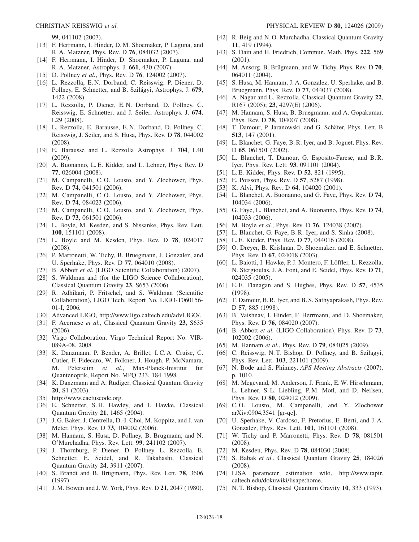99, 041102 (2007).

- [13] F. Herrmann, I. Hinder, D. M. Shoemaker, P. Laguna, and R. A. Matzner, Phys. Rev. D 76, 084032 (2007).
- <span id="page-17-0"></span>[14] F. Herrmann, I. Hinder, D. Shoemaker, P. Laguna, and R. A. Matzner, Astrophys. J. 661, 430 (2007).
- <span id="page-17-10"></span>[15] D. Pollney et al., Phys. Rev. D **76**, 124002 (2007).
- <span id="page-17-33"></span>[16] L. Rezzolla, E. N. Dorband, C. Reisswig, P. Diener, D. Pollney, E. Schnetter, and B. Szilágyi, Astrophys. J. 679, 1422 (2008).
- <span id="page-17-41"></span>[17] L. Rezzolla, P. Diener, E. N. Dorband, D. Pollney, C. Reisswig, E. Schnetter, and J. Seiler, Astrophys. J. 674, L29 (2008).
- <span id="page-17-19"></span>[18] L. Rezzolla, E. Barausse, E. N. Dorband, D. Pollney, C. Reisswig, J. Seiler, and S. Husa, Phys. Rev. D 78, 044002 (2008).
- <span id="page-17-34"></span>[19] E. Barausse and L. Rezzolla Astrophys. J. 704, L40 (2009).
- <span id="page-17-43"></span>[20] A. Buonanno, L. E. Kidder, and L. Lehner, Phys. Rev. D 77, 026004 (2008).
- [21] M. Campanelli, C. O. Lousto, and Y. Zlochower, Phys. Rev. D 74, 041501 (2006).
- [22] M. Campanelli, C. O. Lousto, and Y. Zlochower, Phys. Rev. D 74, 084023 (2006).
- [23] M. Campanelli, C.O. Lousto, and Y. Zlochower, Phys. Rev. D 73, 061501 (2006).
- [24] L. Boyle, M. Kesden, and S. Nissanke, Phys. Rev. Lett. 100, 151101 (2008).
- [25] L. Boyle and M. Kesden, Phys. Rev. D 78, 024017 (2008).
- <span id="page-17-1"></span>[26] P. Marronetti, W. Tichy, B. Bruegmann, J. Gonzalez, and U. Sperhake, Phys. Rev. D 77, 064010 (2008).
- <span id="page-17-2"></span>[27] B. Abbott et al. (LIGO Scientific Collaboration) (2007).
- <span id="page-17-3"></span>[28] S. Waldman and (for the LIGO Science Collaboration), Classical Quantum Gravity 23, S653 (2006).
- <span id="page-17-4"></span>[29] R. Adhikari, P. Fritschel, and S. Waldman (Scientific Collaboration), LIGO Tech. Report No. LIGO-T060156- 01-I, 2006.
- <span id="page-17-5"></span>[30] Advanced LIGO, http://www.ligo.caltech.edu/advLIGO/.
- <span id="page-17-6"></span>[31] F. Acernese et al., Classical Quantum Gravity 23, S635 (2006).
- <span id="page-17-7"></span>[32] Virgo Collaboration, Virgo Technical Report No. VIR-089A-08, 2008.
- <span id="page-17-8"></span>[33] K. Danzmann, P. Bender, A. Brillet, I. C. A. Cruise, C. Cutler, F. Fidecaro, W. Folkner, J. Hough, P. McNamara, M. Peterseim et al., Max-Planck-Inistitut für Quantenoptik, Report No. MPQ 233, 184 1998.
- <span id="page-17-9"></span>[34] K. Danzmann and A. Rüdiger, Classical Quantum Gravity 20, S1 (2003).
- <span id="page-17-11"></span>[35] http://www.cactuscode.org.
- <span id="page-17-12"></span>[36] E. Schnetter, S. H. Hawley, and I. Hawke, Classical Quantum Gravity 21, 1465 (2004).
- <span id="page-17-13"></span>[37] J. G. Baker, J. Centrella, D.-I. Choi, M. Koppitz, and J. van Meter, Phys. Rev. D 73, 104002 (2006).
- <span id="page-17-14"></span>[38] M. Hannam, S. Husa, D. Pollney, B. Brugmann, and N. O'Murchadha, Phys. Rev. Lett. 99, 241102 (2007).
- <span id="page-17-15"></span>[39] J. Thornburg, P. Diener, D. Pollney, L. Rezzolla, E. Schnetter, E. Seidel, and R. Takahashi, Classical Quantum Gravity 24, 3911 (2007).
- <span id="page-17-16"></span>[40] S. Brandt and B. Brügmann, Phys. Rev. Lett. **78**, 3606 (1997).
- [41] J. M. Bowen and J. W. York, Phys. Rev. D 21, 2047 (1980).
- [42] R. Beig and N. O. Murchadha, Classical Quantum Gravity 11, 419 (1994).
- <span id="page-17-17"></span>[43] S. Dain and H. Friedrich, Commun. Math. Phys. 222, 569 (2001).
- <span id="page-17-18"></span>[44] M. Ansorg, B. Brügmann, and W. Tichy, Phys. Rev. D 70, 064011 (2004).
- <span id="page-17-20"></span>[45] S. Husa, M. Hannam, J. A. Gonzalez, U. Sperhake, and B. Bruegmann, Phys. Rev. D 77, 044037 (2008).
- <span id="page-17-21"></span>[46] A. Nagar and L. Rezzolla, Classical Quantum Gravity 22, R167 (2005); 23, 4297(E) (2006).
- <span id="page-17-22"></span>[47] M. Hannam, S. Husa, B. Bruegmann, and A. Gopakumar, Phys. Rev. D 78, 104007 (2008).
- <span id="page-17-23"></span>[48] T. Damour, P. Jaranowski, and G. Schäfer, Phys. Lett. B 513, 147 (2001).
- [49] L. Blanchet, G. Faye, B. R. Iyer, and B. Joguet, Phys. Rev. D 65, 061501 (2002).
- [50] L. Blanchet, T. Damour, G. Esposito-Farese, and B. R. Iyer, Phys. Rev. Lett. 93, 091101 (2004).
- [51] L. E. Kidder, Phys. Rev. D **52**, 821 (1995).
- [52] E. Poisson, Phys. Rev. D **57**, 5287 (1998).
- [53] K. Alvi, Phys. Rev. D **64**, 104020 (2001).
- [54] L. Blanchet, A. Buonanno, and G. Faye, Phys. Rev. D 74, 104034 (2006).
- <span id="page-17-24"></span>[55] G. Faye, L. Blanchet, and A. Buonanno, Phys. Rev. D 74, 104033 (2006).
- <span id="page-17-25"></span>[56] M. Boyle et al., Phys. Rev. D 76, 124038 (2007).
- <span id="page-17-26"></span>[57] L. Blanchet, G. Faye, B. R. Iyer, and S. Sinha (2008).
- <span id="page-17-27"></span>[58] L. E. Kidder, Phys. Rev. D 77, 044016 (2008).
- <span id="page-17-28"></span>[59] O. Dreyer, B. Krishnan, D. Shoemaker, and E. Schnetter, Phys. Rev. D 67, 024018 (2003).
- <span id="page-17-29"></span>[60] L. Baiotti, I. Hawke, P. J. Montero, F. Löffler, L. Rezzolla, N. Stergioulas, J. A. Font, and E. Seidel, Phys. Rev. D 71, 024035 (2005).
- <span id="page-17-30"></span>[61] E.E. Flanagan and S. Hughes, Phys. Rev. D 57, 4535 (1998).
- <span id="page-17-31"></span>[62] T. Damour, B. R. Iyer, and B. S. Sathyaprakash, Phys. Rev. D 57, 885 (1998).
- <span id="page-17-32"></span>[63] B. Vaishnav, I. Hinder, F. Herrmann, and D. Shoemaker, Phys. Rev. D 76, 084020 (2007).
- <span id="page-17-35"></span>[64] B. Abbott et al. (LIGO Collaboration), Phys. Rev. D 73, 102002 (2006).
- <span id="page-17-36"></span>[65] M. Hannam et al., Phys. Rev. D 79, 084025 (2009).
- <span id="page-17-37"></span>[66] C. Reisswig, N. T. Bishop, D. Pollney, and B. Szilagyi, Phys. Rev. Lett. 103, 221101 (2009).
- <span id="page-17-38"></span>[67] N. Bode and S. Phinney, APS Meeting Abstracts (2007), p. 1010.
- <span id="page-17-39"></span>[68] M. Megevand, M. Anderson, J. Frank, E. W. Hirschmann, L. Lehner, S. L. Liebling, P. M. Motl, and D. Neilsen, Phys. Rev. D 80, 024012 (2009).
- <span id="page-17-40"></span>[69] C. O. Lousto, M. Campanelli, and Y. Zlochower arXiv:0904.3541 [gr-qc].
- <span id="page-17-42"></span>[70] U. Sperhake, V. Cardoso, F. Pretorius, E. Berti, and J. A. Gonzalez, Phys. Rev. Lett. 101, 161101 (2008).
- <span id="page-17-45"></span>[71] W. Tichy and P. Marronetti, Phys. Rev. D **78**, 081501 (2008).
- <span id="page-17-46"></span><span id="page-17-44"></span>[72] M. Kesden, Phys. Rev. D 78, 084030 (2008).
- [73] S. Babak et al., Classical Quantum Gravity 25, 184026 (2008).
- <span id="page-17-47"></span>[74] LISA parameter estimation wiki, http://www.tapir. caltech.edu/dokuwiki/lisape:home.
- <span id="page-17-48"></span>[75] N. T. Bishop, Classical Quantum Gravity 10, 333 (1993).